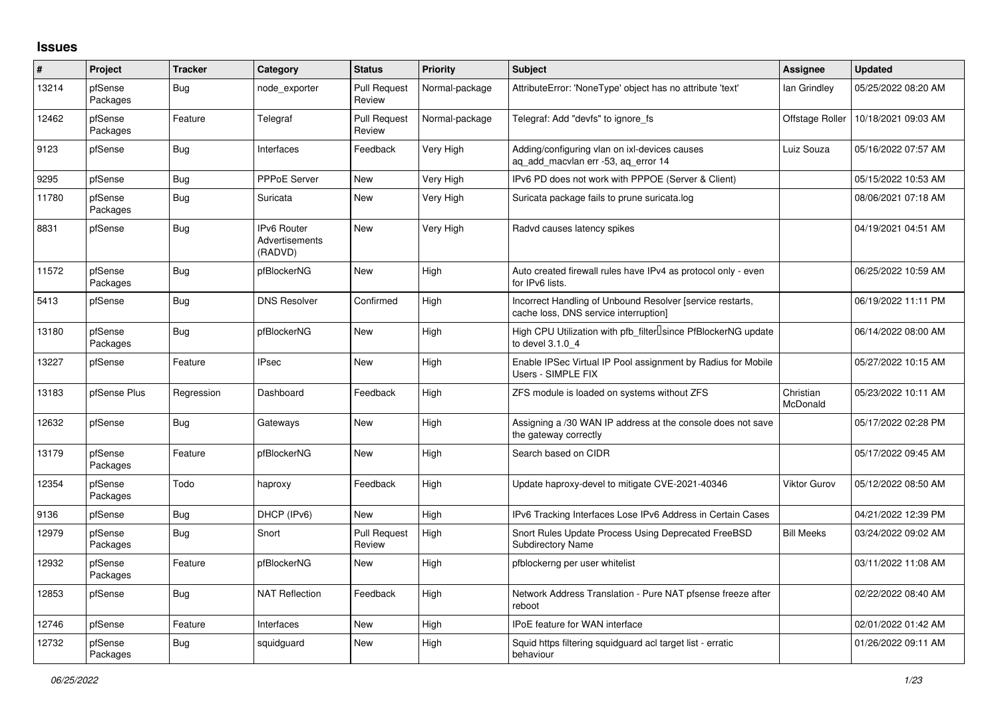## **Issues**

| #     | Project             | <b>Tracker</b> | Category                                               | <b>Status</b>                 | Priority       | <b>Subject</b>                                                                                     | <b>Assignee</b>       | <b>Updated</b>      |
|-------|---------------------|----------------|--------------------------------------------------------|-------------------------------|----------------|----------------------------------------------------------------------------------------------------|-----------------------|---------------------|
| 13214 | pfSense<br>Packages | Bug            | node exporter                                          | <b>Pull Request</b><br>Review | Normal-package | AttributeError: 'NoneType' object has no attribute 'text'                                          | lan Grindley          | 05/25/2022 08:20 AM |
| 12462 | pfSense<br>Packages | Feature        | Telegraf                                               | <b>Pull Request</b><br>Review | Normal-package | Telegraf: Add "devfs" to ignore fs                                                                 | Offstage Roller       | 10/18/2021 09:03 AM |
| 9123  | pfSense             | Bug            | Interfaces                                             | Feedback                      | Very High      | Adding/configuring vlan on ixl-devices causes<br>ag add macvlan err -53, ag error 14               | Luiz Souza            | 05/16/2022 07:57 AM |
| 9295  | pfSense             | <b>Bug</b>     | <b>PPPoE Server</b>                                    | New                           | Very High      | IPv6 PD does not work with PPPOE (Server & Client)                                                 |                       | 05/15/2022 10:53 AM |
| 11780 | pfSense<br>Packages | Bug            | Suricata                                               | New                           | Very High      | Suricata package fails to prune suricata.log                                                       |                       | 08/06/2021 07:18 AM |
| 8831  | pfSense             | <b>Bug</b>     | <b>IPv6 Router</b><br><b>Advertisements</b><br>(RADVD) | <b>New</b>                    | Very High      | Radvd causes latency spikes                                                                        |                       | 04/19/2021 04:51 AM |
| 11572 | pfSense<br>Packages | <b>Bug</b>     | pfBlockerNG                                            | New                           | High           | Auto created firewall rules have IPv4 as protocol only - even<br>for IPv6 lists.                   |                       | 06/25/2022 10:59 AM |
| 5413  | pfSense             | <b>Bug</b>     | <b>DNS Resolver</b>                                    | Confirmed                     | High           | Incorrect Handling of Unbound Resolver [service restarts,<br>cache loss, DNS service interruption] |                       | 06/19/2022 11:11 PM |
| 13180 | pfSense<br>Packages | Bug            | pfBlockerNG                                            | <b>New</b>                    | High           | High CPU Utilization with pfb filter Usince PfBlockerNG update<br>to devel 3.1.0 4                 |                       | 06/14/2022 08:00 AM |
| 13227 | pfSense             | Feature        | <b>IPsec</b>                                           | <b>New</b>                    | High           | Enable IPSec Virtual IP Pool assignment by Radius for Mobile<br>Users - SIMPLE FIX                 |                       | 05/27/2022 10:15 AM |
| 13183 | pfSense Plus        | Regression     | Dashboard                                              | Feedback                      | High           | ZFS module is loaded on systems without ZFS                                                        | Christian<br>McDonald | 05/23/2022 10:11 AM |
| 12632 | pfSense             | Bug            | Gateways                                               | New                           | High           | Assigning a /30 WAN IP address at the console does not save<br>the gateway correctly               |                       | 05/17/2022 02:28 PM |
| 13179 | pfSense<br>Packages | Feature        | pfBlockerNG                                            | New                           | High           | Search based on CIDR                                                                               |                       | 05/17/2022 09:45 AM |
| 12354 | pfSense<br>Packages | Todo           | haproxy                                                | Feedback                      | High           | Update haproxy-devel to mitigate CVE-2021-40346                                                    | Viktor Gurov          | 05/12/2022 08:50 AM |
| 9136  | pfSense             | <b>Bug</b>     | DHCP (IPv6)                                            | <b>New</b>                    | High           | IPv6 Tracking Interfaces Lose IPv6 Address in Certain Cases                                        |                       | 04/21/2022 12:39 PM |
| 12979 | pfSense<br>Packages | <b>Bug</b>     | Snort                                                  | <b>Pull Request</b><br>Review | High           | Snort Rules Update Process Using Deprecated FreeBSD<br><b>Subdirectory Name</b>                    | <b>Bill Meeks</b>     | 03/24/2022 09:02 AM |
| 12932 | pfSense<br>Packages | Feature        | pfBlockerNG                                            | <b>New</b>                    | High           | pfblockerng per user whitelist                                                                     |                       | 03/11/2022 11:08 AM |
| 12853 | pfSense             | <b>Bug</b>     | <b>NAT Reflection</b>                                  | Feedback                      | High           | Network Address Translation - Pure NAT pfsense freeze after<br>reboot                              |                       | 02/22/2022 08:40 AM |
| 12746 | pfSense             | Feature        | Interfaces                                             | New                           | High           | <b>IPoE</b> feature for WAN interface                                                              |                       | 02/01/2022 01:42 AM |
| 12732 | pfSense<br>Packages | Bug            | squidguard                                             | New                           | High           | Squid https filtering squidguard acl target list - erratic<br>behaviour                            |                       | 01/26/2022 09:11 AM |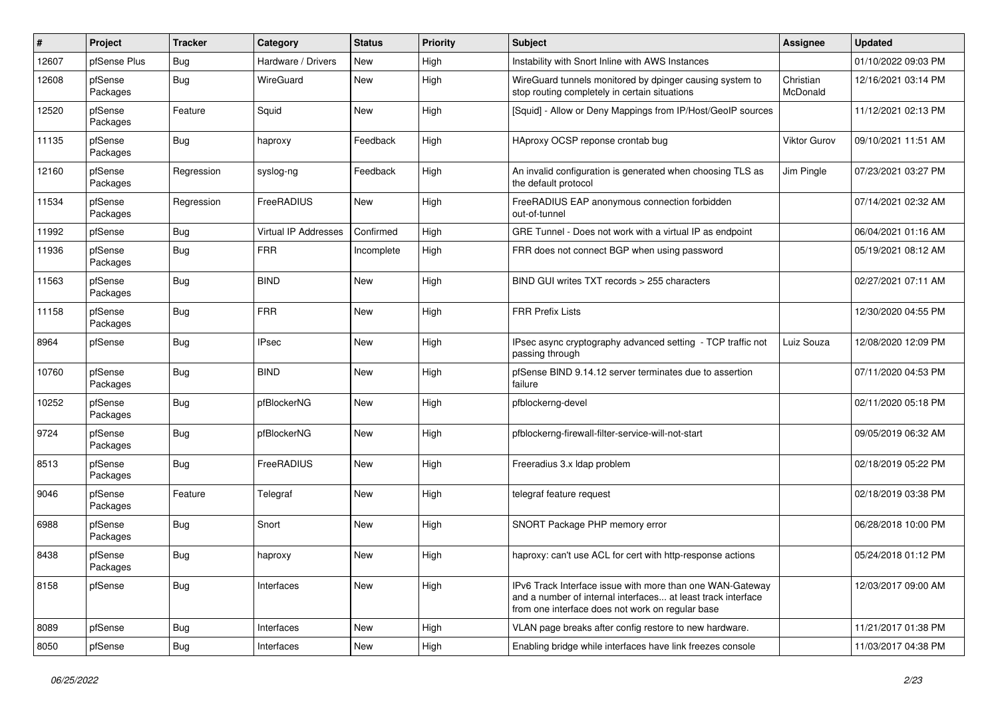| #     | Project             | <b>Tracker</b> | Category             | <b>Status</b> | <b>Priority</b> | <b>Subject</b>                                                                                                                                                                | <b>Assignee</b>       | <b>Updated</b>      |
|-------|---------------------|----------------|----------------------|---------------|-----------------|-------------------------------------------------------------------------------------------------------------------------------------------------------------------------------|-----------------------|---------------------|
| 12607 | pfSense Plus        | <b>Bug</b>     | Hardware / Drivers   | New           | High            | Instability with Snort Inline with AWS Instances                                                                                                                              |                       | 01/10/2022 09:03 PM |
| 12608 | pfSense<br>Packages | <b>Bug</b>     | WireGuard            | New           | High            | WireGuard tunnels monitored by dpinger causing system to<br>stop routing completely in certain situations                                                                     | Christian<br>McDonald | 12/16/2021 03:14 PM |
| 12520 | pfSense<br>Packages | Feature        | Squid                | <b>New</b>    | High            | [Squid] - Allow or Deny Mappings from IP/Host/GeoIP sources                                                                                                                   |                       | 11/12/2021 02:13 PM |
| 11135 | pfSense<br>Packages | Bug            | haproxy              | Feedback      | High            | HAproxy OCSP reponse crontab bug                                                                                                                                              | <b>Viktor Gurov</b>   | 09/10/2021 11:51 AM |
| 12160 | pfSense<br>Packages | Regression     | syslog-ng            | Feedback      | High            | An invalid configuration is generated when choosing TLS as<br>the default protocol                                                                                            | Jim Pingle            | 07/23/2021 03:27 PM |
| 11534 | pfSense<br>Packages | Regression     | FreeRADIUS           | New           | High            | FreeRADIUS EAP anonymous connection forbidden<br>out-of-tunnel                                                                                                                |                       | 07/14/2021 02:32 AM |
| 11992 | pfSense             | <b>Bug</b>     | Virtual IP Addresses | Confirmed     | High            | GRE Tunnel - Does not work with a virtual IP as endpoint                                                                                                                      |                       | 06/04/2021 01:16 AM |
| 11936 | pfSense<br>Packages | <b>Bug</b>     | <b>FRR</b>           | Incomplete    | High            | FRR does not connect BGP when using password                                                                                                                                  |                       | 05/19/2021 08:12 AM |
| 11563 | pfSense<br>Packages | Bug            | <b>BIND</b>          | New           | High            | BIND GUI writes TXT records > 255 characters                                                                                                                                  |                       | 02/27/2021 07:11 AM |
| 11158 | pfSense<br>Packages | <b>Bug</b>     | <b>FRR</b>           | New           | High            | <b>FRR Prefix Lists</b>                                                                                                                                                       |                       | 12/30/2020 04:55 PM |
| 8964  | pfSense             | <b>Bug</b>     | <b>IPsec</b>         | <b>New</b>    | High            | IPsec async cryptography advanced setting - TCP traffic not<br>passing through                                                                                                | Luiz Souza            | 12/08/2020 12:09 PM |
| 10760 | pfSense<br>Packages | Bug            | <b>BIND</b>          | New           | High            | pfSense BIND 9.14.12 server terminates due to assertion<br>failure                                                                                                            |                       | 07/11/2020 04:53 PM |
| 10252 | pfSense<br>Packages | <b>Bug</b>     | pfBlockerNG          | New           | High            | pfblockerng-devel                                                                                                                                                             |                       | 02/11/2020 05:18 PM |
| 9724  | pfSense<br>Packages | <b>Bug</b>     | pfBlockerNG          | New           | High            | pfblockerng-firewall-filter-service-will-not-start                                                                                                                            |                       | 09/05/2019 06:32 AM |
| 8513  | pfSense<br>Packages | <b>Bug</b>     | FreeRADIUS           | New           | High            | Freeradius 3.x Idap problem                                                                                                                                                   |                       | 02/18/2019 05:22 PM |
| 9046  | pfSense<br>Packages | Feature        | Telegraf             | New           | High            | telegraf feature request                                                                                                                                                      |                       | 02/18/2019 03:38 PM |
| 6988  | pfSense<br>Packages | <b>Bug</b>     | Snort                | New           | High            | SNORT Package PHP memory error                                                                                                                                                |                       | 06/28/2018 10:00 PM |
| 8438  | pfSense<br>Packages | <b>Bug</b>     | haproxy              | <b>New</b>    | High            | haproxy: can't use ACL for cert with http-response actions                                                                                                                    |                       | 05/24/2018 01:12 PM |
| 8158  | pfSense             | Bug            | Interfaces           | <b>New</b>    | High            | IPv6 Track Interface issue with more than one WAN-Gateway<br>and a number of internal interfaces at least track interface<br>from one interface does not work on regular base |                       | 12/03/2017 09:00 AM |
| 8089  | pfSense             | Bug            | Interfaces           | New           | High            | VLAN page breaks after config restore to new hardware.                                                                                                                        |                       | 11/21/2017 01:38 PM |
| 8050  | pfSense             | Bug            | Interfaces           | New           | High            | Enabling bridge while interfaces have link freezes console                                                                                                                    |                       | 11/03/2017 04:38 PM |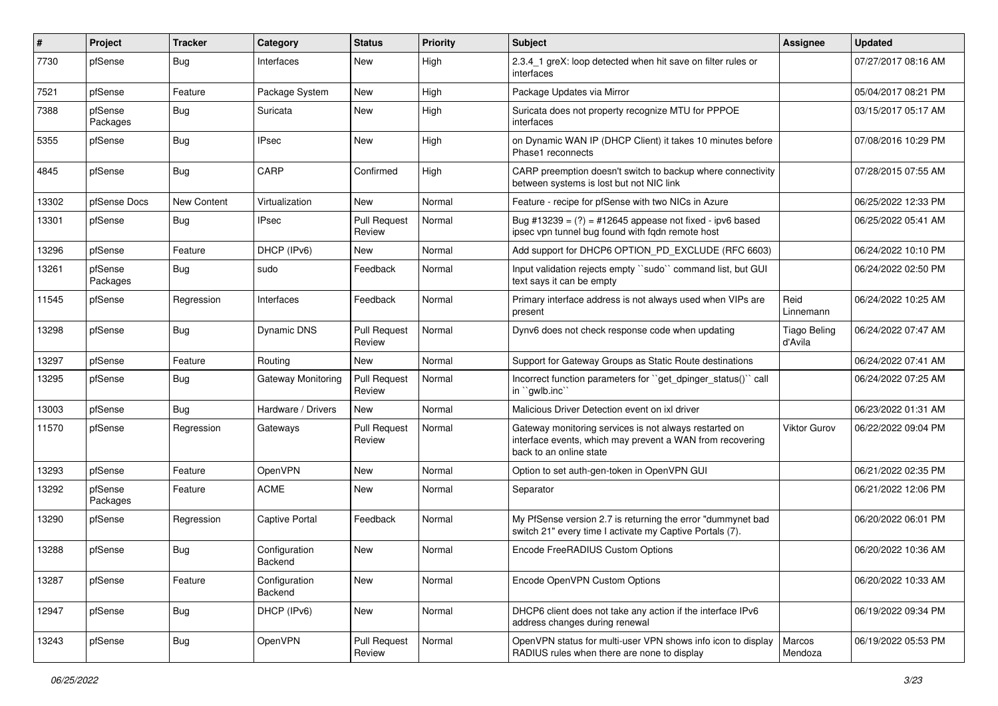| $\#$  | Project             | <b>Tracker</b> | Category                 | <b>Status</b>                 | <b>Priority</b> | Subject                                                                                                                                        | Assignee                       | <b>Updated</b>      |
|-------|---------------------|----------------|--------------------------|-------------------------------|-----------------|------------------------------------------------------------------------------------------------------------------------------------------------|--------------------------------|---------------------|
| 7730  | pfSense             | Bug            | Interfaces               | New                           | High            | 2.3.4 1 greX: loop detected when hit save on filter rules or<br>interfaces                                                                     |                                | 07/27/2017 08:16 AM |
| 7521  | pfSense             | Feature        | Package System           | New                           | High            | Package Updates via Mirror                                                                                                                     |                                | 05/04/2017 08:21 PM |
| 7388  | pfSense<br>Packages | <b>Bug</b>     | Suricata                 | New                           | High            | Suricata does not property recognize MTU for PPPOE<br>interfaces                                                                               |                                | 03/15/2017 05:17 AM |
| 5355  | pfSense             | Bug            | <b>IPsec</b>             | New                           | High            | on Dynamic WAN IP (DHCP Client) it takes 10 minutes before<br>Phase1 reconnects                                                                |                                | 07/08/2016 10:29 PM |
| 4845  | pfSense             | Bug            | CARP                     | Confirmed                     | High            | CARP preemption doesn't switch to backup where connectivity<br>between systems is lost but not NIC link                                        |                                | 07/28/2015 07:55 AM |
| 13302 | pfSense Docs        | New Content    | Virtualization           | New                           | Normal          | Feature - recipe for pfSense with two NICs in Azure                                                                                            |                                | 06/25/2022 12:33 PM |
| 13301 | pfSense             | Bug            | <b>IPsec</b>             | <b>Pull Request</b><br>Review | Normal          | Bug #13239 = $(?)$ = #12645 appease not fixed - ipv6 based<br>ipsec vpn tunnel bug found with fqdn remote host                                 |                                | 06/25/2022 05:41 AM |
| 13296 | pfSense             | Feature        | DHCP (IPv6)              | <b>New</b>                    | Normal          | Add support for DHCP6 OPTION_PD_EXCLUDE (RFC 6603)                                                                                             |                                | 06/24/2022 10:10 PM |
| 13261 | pfSense<br>Packages | Bug            | sudo                     | Feedback                      | Normal          | Input validation rejects empty "sudo" command list, but GUI<br>text says it can be empty                                                       |                                | 06/24/2022 02:50 PM |
| 11545 | pfSense             | Regression     | Interfaces               | Feedback                      | Normal          | Primary interface address is not always used when VIPs are<br>present                                                                          | Reid<br>Linnemann              | 06/24/2022 10:25 AM |
| 13298 | pfSense             | <b>Bug</b>     | <b>Dynamic DNS</b>       | <b>Pull Request</b><br>Review | Normal          | Dynv6 does not check response code when updating                                                                                               | <b>Tiago Beling</b><br>d'Avila | 06/24/2022 07:47 AM |
| 13297 | pfSense             | Feature        | Routing                  | New                           | Normal          | Support for Gateway Groups as Static Route destinations                                                                                        |                                | 06/24/2022 07:41 AM |
| 13295 | pfSense             | <b>Bug</b>     | Gateway Monitoring       | <b>Pull Request</b><br>Review | Normal          | Incorrect function parameters for "get_dpinger_status()" call<br>in "gwlb.inc"                                                                 |                                | 06/24/2022 07:25 AM |
| 13003 | pfSense             | Bug            | Hardware / Drivers       | <b>New</b>                    | Normal          | Malicious Driver Detection event on ixl driver                                                                                                 |                                | 06/23/2022 01:31 AM |
| 11570 | pfSense             | Regression     | Gateways                 | <b>Pull Request</b><br>Review | Normal          | Gateway monitoring services is not always restarted on<br>interface events, which may prevent a WAN from recovering<br>back to an online state | <b>Viktor Gurov</b>            | 06/22/2022 09:04 PM |
| 13293 | pfSense             | Feature        | OpenVPN                  | New                           | Normal          | Option to set auth-gen-token in OpenVPN GUI                                                                                                    |                                | 06/21/2022 02:35 PM |
| 13292 | pfSense<br>Packages | Feature        | <b>ACME</b>              | New                           | Normal          | Separator                                                                                                                                      |                                | 06/21/2022 12:06 PM |
| 13290 | pfSense             | Regression     | <b>Captive Portal</b>    | Feedback                      | Normal          | My PfSense version 2.7 is returning the error "dummynet bad<br>switch 21" every time I activate my Captive Portals (7).                        |                                | 06/20/2022 06:01 PM |
| 13288 | pfSense             | <b>Bug</b>     | Configuration<br>Backend | New                           | Normal          | Encode FreeRADIUS Custom Options                                                                                                               |                                | 06/20/2022 10:36 AM |
| 13287 | pfSense             | Feature        | Configuration<br>Backend | New                           | Normal          | Encode OpenVPN Custom Options                                                                                                                  |                                | 06/20/2022 10:33 AM |
| 12947 | pfSense             | Bug            | DHCP (IPv6)              | New                           | Normal          | DHCP6 client does not take any action if the interface IPv6<br>address changes during renewal                                                  |                                | 06/19/2022 09:34 PM |
| 13243 | pfSense             | Bug            | OpenVPN                  | <b>Pull Request</b><br>Review | Normal          | OpenVPN status for multi-user VPN shows info icon to display<br>RADIUS rules when there are none to display                                    | Marcos<br>Mendoza              | 06/19/2022 05:53 PM |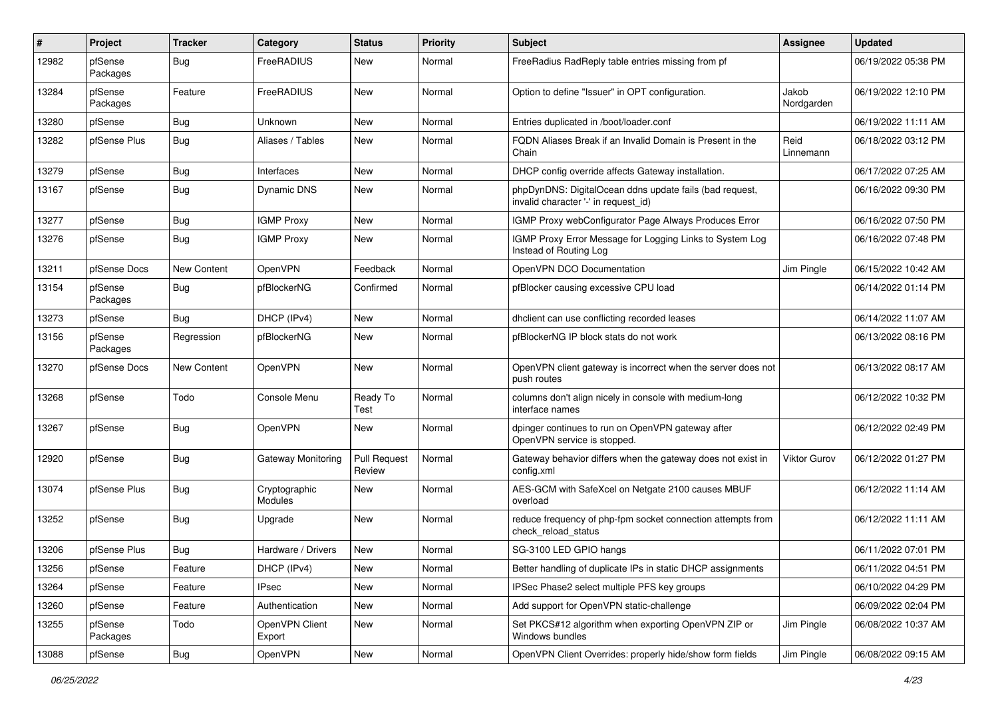| #     | Project             | <b>Tracker</b>     | Category                  | <b>Status</b>                 | <b>Priority</b> | Subject                                                                                         | Assignee            | <b>Updated</b>      |
|-------|---------------------|--------------------|---------------------------|-------------------------------|-----------------|-------------------------------------------------------------------------------------------------|---------------------|---------------------|
| 12982 | pfSense<br>Packages | <b>Bug</b>         | FreeRADIUS                | New                           | Normal          | FreeRadius RadReply table entries missing from pf                                               |                     | 06/19/2022 05:38 PM |
| 13284 | pfSense<br>Packages | Feature            | FreeRADIUS                | New                           | Normal          | Option to define "Issuer" in OPT configuration.                                                 | Jakob<br>Nordgarden | 06/19/2022 12:10 PM |
| 13280 | pfSense             | <b>Bug</b>         | Unknown                   | <b>New</b>                    | Normal          | Entries duplicated in /boot/loader.conf                                                         |                     | 06/19/2022 11:11 AM |
| 13282 | pfSense Plus        | <b>Bug</b>         | Aliases / Tables          | New                           | Normal          | FQDN Aliases Break if an Invalid Domain is Present in the<br>Chain                              | Reid<br>Linnemann   | 06/18/2022 03:12 PM |
| 13279 | pfSense             | <b>Bug</b>         | Interfaces                | New                           | Normal          | DHCP config override affects Gateway installation.                                              |                     | 06/17/2022 07:25 AM |
| 13167 | pfSense             | <b>Bug</b>         | Dynamic DNS               | New                           | Normal          | phpDynDNS: DigitalOcean ddns update fails (bad request,<br>invalid character '-' in request_id) |                     | 06/16/2022 09:30 PM |
| 13277 | pfSense             | <b>Bug</b>         | <b>IGMP Proxy</b>         | New                           | Normal          | IGMP Proxy webConfigurator Page Always Produces Error                                           |                     | 06/16/2022 07:50 PM |
| 13276 | pfSense             | Bug                | <b>IGMP Proxy</b>         | New                           | Normal          | IGMP Proxy Error Message for Logging Links to System Log<br>Instead of Routing Log              |                     | 06/16/2022 07:48 PM |
| 13211 | pfSense Docs        | <b>New Content</b> | OpenVPN                   | Feedback                      | Normal          | OpenVPN DCO Documentation                                                                       | Jim Pingle          | 06/15/2022 10:42 AM |
| 13154 | pfSense<br>Packages | Bug                | pfBlockerNG               | Confirmed                     | Normal          | pfBlocker causing excessive CPU load                                                            |                     | 06/14/2022 01:14 PM |
| 13273 | pfSense             | Bug                | DHCP (IPv4)               | New                           | Normal          | dhclient can use conflicting recorded leases                                                    |                     | 06/14/2022 11:07 AM |
| 13156 | pfSense<br>Packages | Regression         | pfBlockerNG               | New                           | Normal          | pfBlockerNG IP block stats do not work                                                          |                     | 06/13/2022 08:16 PM |
| 13270 | pfSense Docs        | New Content        | OpenVPN                   | New                           | Normal          | OpenVPN client gateway is incorrect when the server does not<br>push routes                     |                     | 06/13/2022 08:17 AM |
| 13268 | pfSense             | Todo               | Console Menu              | Ready To<br>Test              | Normal          | columns don't align nicely in console with medium-long<br>interface names                       |                     | 06/12/2022 10:32 PM |
| 13267 | pfSense             | <b>Bug</b>         | OpenVPN                   | New                           | Normal          | dpinger continues to run on OpenVPN gateway after<br>OpenVPN service is stopped.                |                     | 06/12/2022 02:49 PM |
| 12920 | pfSense             | <b>Bug</b>         | <b>Gateway Monitoring</b> | <b>Pull Request</b><br>Review | Normal          | Gateway behavior differs when the gateway does not exist in<br>config.xml                       | Viktor Gurov        | 06/12/2022 01:27 PM |
| 13074 | pfSense Plus        | <b>Bug</b>         | Cryptographic<br>Modules  | New                           | Normal          | AES-GCM with SafeXcel on Netgate 2100 causes MBUF<br>overload                                   |                     | 06/12/2022 11:14 AM |
| 13252 | pfSense             | <b>Bug</b>         | Upgrade                   | New                           | Normal          | reduce frequency of php-fpm socket connection attempts from<br>check_reload_status              |                     | 06/12/2022 11:11 AM |
| 13206 | pfSense Plus        | <b>Bug</b>         | Hardware / Drivers        | New                           | Normal          | SG-3100 LED GPIO hangs                                                                          |                     | 06/11/2022 07:01 PM |
| 13256 | pfSense             | Feature            | DHCP (IPv4)               | New                           | Normal          | Better handling of duplicate IPs in static DHCP assignments                                     |                     | 06/11/2022 04:51 PM |
| 13264 | pfSense             | Feature            | IPsec                     | New                           | Normal          | IPSec Phase2 select multiple PFS key groups                                                     |                     | 06/10/2022 04:29 PM |
| 13260 | pfSense             | Feature            | Authentication            | New                           | Normal          | Add support for OpenVPN static-challenge                                                        |                     | 06/09/2022 02:04 PM |
| 13255 | pfSense<br>Packages | Todo               | OpenVPN Client<br>Export  | New                           | Normal          | Set PKCS#12 algorithm when exporting OpenVPN ZIP or<br>Windows bundles                          | Jim Pingle          | 06/08/2022 10:37 AM |
| 13088 | pfSense             | <b>Bug</b>         | OpenVPN                   | New                           | Normal          | OpenVPN Client Overrides: properly hide/show form fields                                        | Jim Pingle          | 06/08/2022 09:15 AM |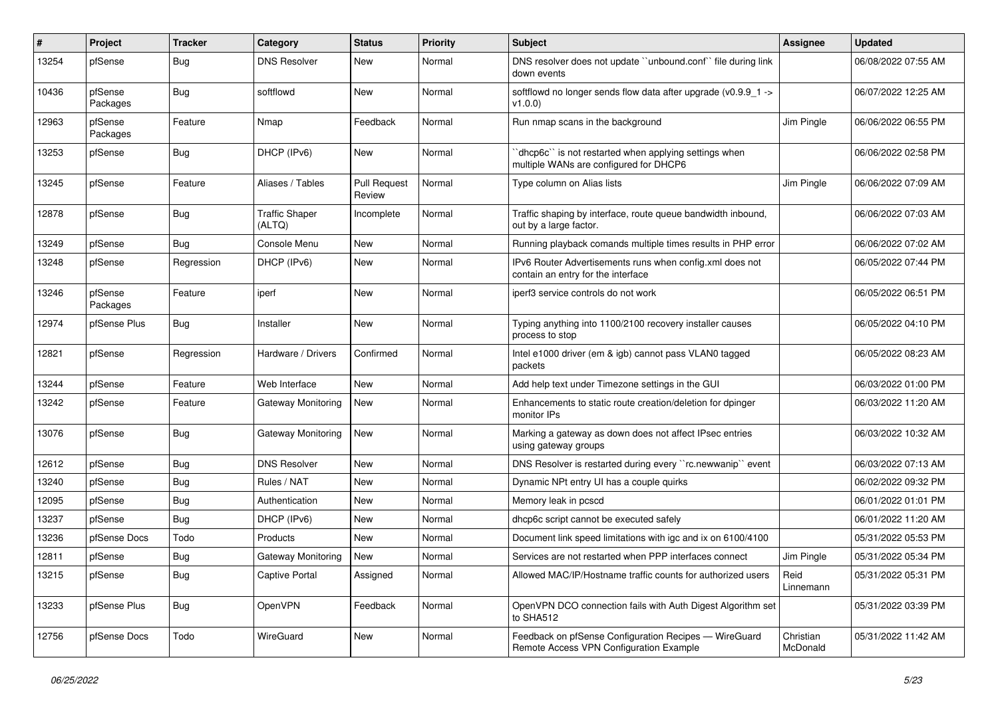| $\#$  | Project             | <b>Tracker</b> | Category                        | <b>Status</b>                 | <b>Priority</b> | <b>Subject</b>                                                                                   | Assignee              | <b>Updated</b>      |
|-------|---------------------|----------------|---------------------------------|-------------------------------|-----------------|--------------------------------------------------------------------------------------------------|-----------------------|---------------------|
| 13254 | pfSense             | <b>Bug</b>     | <b>DNS Resolver</b>             | New                           | Normal          | DNS resolver does not update "unbound.conf" file during link<br>down events                      |                       | 06/08/2022 07:55 AM |
| 10436 | pfSense<br>Packages | <b>Bug</b>     | softflowd                       | New                           | Normal          | softflowd no longer sends flow data after upgrade (v0.9.9_1 -><br>v1.0.0                         |                       | 06/07/2022 12:25 AM |
| 12963 | pfSense<br>Packages | Feature        | Nmap                            | Feedback                      | Normal          | Run nmap scans in the background                                                                 | Jim Pingle            | 06/06/2022 06:55 PM |
| 13253 | pfSense             | <b>Bug</b>     | DHCP (IPv6)                     | New                           | Normal          | dhcp6c" is not restarted when applying settings when<br>multiple WANs are configured for DHCP6   |                       | 06/06/2022 02:58 PM |
| 13245 | pfSense             | Feature        | Aliases / Tables                | <b>Pull Request</b><br>Review | Normal          | Type column on Alias lists                                                                       | Jim Pingle            | 06/06/2022 07:09 AM |
| 12878 | pfSense             | <b>Bug</b>     | <b>Traffic Shaper</b><br>(ALTQ) | Incomplete                    | Normal          | Traffic shaping by interface, route queue bandwidth inbound,<br>out by a large factor.           |                       | 06/06/2022 07:03 AM |
| 13249 | pfSense             | Bug            | Console Menu                    | New                           | Normal          | Running playback comands multiple times results in PHP error                                     |                       | 06/06/2022 07:02 AM |
| 13248 | pfSense             | Regression     | DHCP (IPv6)                     | New                           | Normal          | IPv6 Router Advertisements runs when config.xml does not<br>contain an entry for the interface   |                       | 06/05/2022 07:44 PM |
| 13246 | pfSense<br>Packages | Feature        | iperf                           | <b>New</b>                    | Normal          | iperf3 service controls do not work                                                              |                       | 06/05/2022 06:51 PM |
| 12974 | pfSense Plus        | <b>Bug</b>     | Installer                       | New                           | Normal          | Typing anything into 1100/2100 recovery installer causes<br>process to stop                      |                       | 06/05/2022 04:10 PM |
| 12821 | pfSense             | Regression     | Hardware / Drivers              | Confirmed                     | Normal          | Intel e1000 driver (em & igb) cannot pass VLAN0 tagged<br>packets                                |                       | 06/05/2022 08:23 AM |
| 13244 | pfSense             | Feature        | Web Interface                   | New                           | Normal          | Add help text under Timezone settings in the GUI                                                 |                       | 06/03/2022 01:00 PM |
| 13242 | pfSense             | Feature        | Gateway Monitoring              | New                           | Normal          | Enhancements to static route creation/deletion for dpinger<br>monitor IPs                        |                       | 06/03/2022 11:20 AM |
| 13076 | pfSense             | <b>Bug</b>     | Gateway Monitoring              | New                           | Normal          | Marking a gateway as down does not affect IPsec entries<br>using gateway groups                  |                       | 06/03/2022 10:32 AM |
| 12612 | pfSense             | <b>Bug</b>     | <b>DNS Resolver</b>             | <b>New</b>                    | Normal          | DNS Resolver is restarted during every "rc.newwanip" event                                       |                       | 06/03/2022 07:13 AM |
| 13240 | pfSense             | <b>Bug</b>     | Rules / NAT                     | New                           | Normal          | Dynamic NPt entry UI has a couple quirks                                                         |                       | 06/02/2022 09:32 PM |
| 12095 | pfSense             | Bug            | Authentication                  | New                           | Normal          | Memory leak in pcscd                                                                             |                       | 06/01/2022 01:01 PM |
| 13237 | pfSense             | <b>Bug</b>     | DHCP (IPv6)                     | New                           | Normal          | dhcp6c script cannot be executed safely                                                          |                       | 06/01/2022 11:20 AM |
| 13236 | pfSense Docs        | Todo           | Products                        | New                           | Normal          | Document link speed limitations with igc and ix on 6100/4100                                     |                       | 05/31/2022 05:53 PM |
| 12811 | pfSense             | <b>Bug</b>     | Gateway Monitoring              | <b>New</b>                    | Normal          | Services are not restarted when PPP interfaces connect                                           | Jim Pingle            | 05/31/2022 05:34 PM |
| 13215 | pfSense             | Bug            | <b>Captive Portal</b>           | Assigned                      | Normal          | Allowed MAC/IP/Hostname traffic counts for authorized users                                      | Reid<br>Linnemann     | 05/31/2022 05:31 PM |
| 13233 | pfSense Plus        | <b>Bug</b>     | <b>OpenVPN</b>                  | Feedback                      | Normal          | OpenVPN DCO connection fails with Auth Digest Algorithm set<br>to SHA512                         |                       | 05/31/2022 03:39 PM |
| 12756 | pfSense Docs        | Todo           | WireGuard                       | New                           | Normal          | Feedback on pfSense Configuration Recipes - WireGuard<br>Remote Access VPN Configuration Example | Christian<br>McDonald | 05/31/2022 11:42 AM |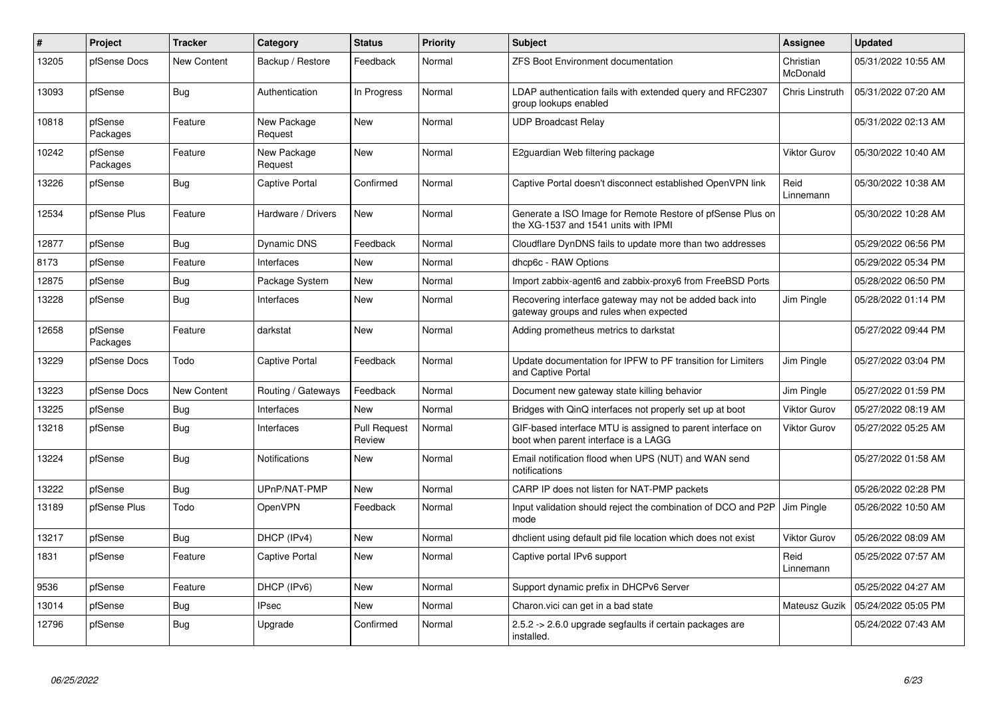| #     | Project             | <b>Tracker</b>     | Category               | <b>Status</b>                 | <b>Priority</b> | <b>Subject</b>                                                                                     | Assignee              | <b>Updated</b>      |
|-------|---------------------|--------------------|------------------------|-------------------------------|-----------------|----------------------------------------------------------------------------------------------------|-----------------------|---------------------|
| 13205 | pfSense Docs        | New Content        | Backup / Restore       | Feedback                      | Normal          | <b>ZFS Boot Environment documentation</b>                                                          | Christian<br>McDonald | 05/31/2022 10:55 AM |
| 13093 | pfSense             | <b>Bug</b>         | Authentication         | In Progress                   | Normal          | LDAP authentication fails with extended query and RFC2307<br>group lookups enabled                 | Chris Linstruth       | 05/31/2022 07:20 AM |
| 10818 | pfSense<br>Packages | Feature            | New Package<br>Request | New                           | Normal          | <b>UDP Broadcast Relay</b>                                                                         |                       | 05/31/2022 02:13 AM |
| 10242 | pfSense<br>Packages | Feature            | New Package<br>Request | New                           | Normal          | E2guardian Web filtering package                                                                   | Viktor Gurov          | 05/30/2022 10:40 AM |
| 13226 | pfSense             | Bug                | Captive Portal         | Confirmed                     | Normal          | Captive Portal doesn't disconnect established OpenVPN link                                         | Reid<br>Linnemann     | 05/30/2022 10:38 AM |
| 12534 | pfSense Plus        | Feature            | Hardware / Drivers     | New                           | Normal          | Generate a ISO Image for Remote Restore of pfSense Plus on<br>the XG-1537 and 1541 units with IPMI |                       | 05/30/2022 10:28 AM |
| 12877 | pfSense             | <b>Bug</b>         | Dynamic DNS            | Feedback                      | Normal          | Cloudflare DynDNS fails to update more than two addresses                                          |                       | 05/29/2022 06:56 PM |
| 8173  | pfSense             | Feature            | Interfaces             | New                           | Normal          | dhcp6c - RAW Options                                                                               |                       | 05/29/2022 05:34 PM |
| 12875 | pfSense             | <b>Bug</b>         | Package System         | New                           | Normal          | Import zabbix-agent6 and zabbix-proxy6 from FreeBSD Ports                                          |                       | 05/28/2022 06:50 PM |
| 13228 | pfSense             | <b>Bug</b>         | Interfaces             | New                           | Normal          | Recovering interface gateway may not be added back into<br>gateway groups and rules when expected  | Jim Pingle            | 05/28/2022 01:14 PM |
| 12658 | pfSense<br>Packages | Feature            | darkstat               | New                           | Normal          | Adding prometheus metrics to darkstat                                                              |                       | 05/27/2022 09:44 PM |
| 13229 | pfSense Docs        | Todo               | Captive Portal         | Feedback                      | Normal          | Update documentation for IPFW to PF transition for Limiters<br>and Captive Portal                  | Jim Pingle            | 05/27/2022 03:04 PM |
| 13223 | pfSense Docs        | <b>New Content</b> | Routing / Gateways     | Feedback                      | Normal          | Document new gateway state killing behavior                                                        | Jim Pingle            | 05/27/2022 01:59 PM |
| 13225 | pfSense             | Bug                | Interfaces             | New                           | Normal          | Bridges with QinQ interfaces not properly set up at boot                                           | Viktor Gurov          | 05/27/2022 08:19 AM |
| 13218 | pfSense             | <b>Bug</b>         | Interfaces             | <b>Pull Request</b><br>Review | Normal          | GIF-based interface MTU is assigned to parent interface on<br>boot when parent interface is a LAGG | Viktor Gurov          | 05/27/2022 05:25 AM |
| 13224 | pfSense             | <b>Bug</b>         | <b>Notifications</b>   | New                           | Normal          | Email notification flood when UPS (NUT) and WAN send<br>notifications                              |                       | 05/27/2022 01:58 AM |
| 13222 | pfSense             | <b>Bug</b>         | UPnP/NAT-PMP           | <b>New</b>                    | Normal          | CARP IP does not listen for NAT-PMP packets                                                        |                       | 05/26/2022 02:28 PM |
| 13189 | pfSense Plus        | Todo               | OpenVPN                | Feedback                      | Normal          | Input validation should reject the combination of DCO and P2P<br>mode                              | Jim Pingle            | 05/26/2022 10:50 AM |
| 13217 | pfSense             | <b>Bug</b>         | DHCP (IPv4)            | <b>New</b>                    | Normal          | dhclient using default pid file location which does not exist                                      | Viktor Gurov          | 05/26/2022 08:09 AM |
| 1831  | pfSense             | Feature            | Captive Portal         | New                           | Normal          | Captive portal IPv6 support                                                                        | Reid<br>Linnemann     | 05/25/2022 07:57 AM |
| 9536  | pfSense             | Feature            | DHCP (IPv6)            | New                           | Normal          | Support dynamic prefix in DHCPv6 Server                                                            |                       | 05/25/2022 04:27 AM |
| 13014 | pfSense             | Bug                | <b>IPsec</b>           | New                           | Normal          | Charon. vici can get in a bad state                                                                | Mateusz Guzik         | 05/24/2022 05:05 PM |
| 12796 | pfSense             | <b>Bug</b>         | Upgrade                | Confirmed                     | Normal          | 2.5.2 -> 2.6.0 upgrade segfaults if certain packages are<br>installed.                             |                       | 05/24/2022 07:43 AM |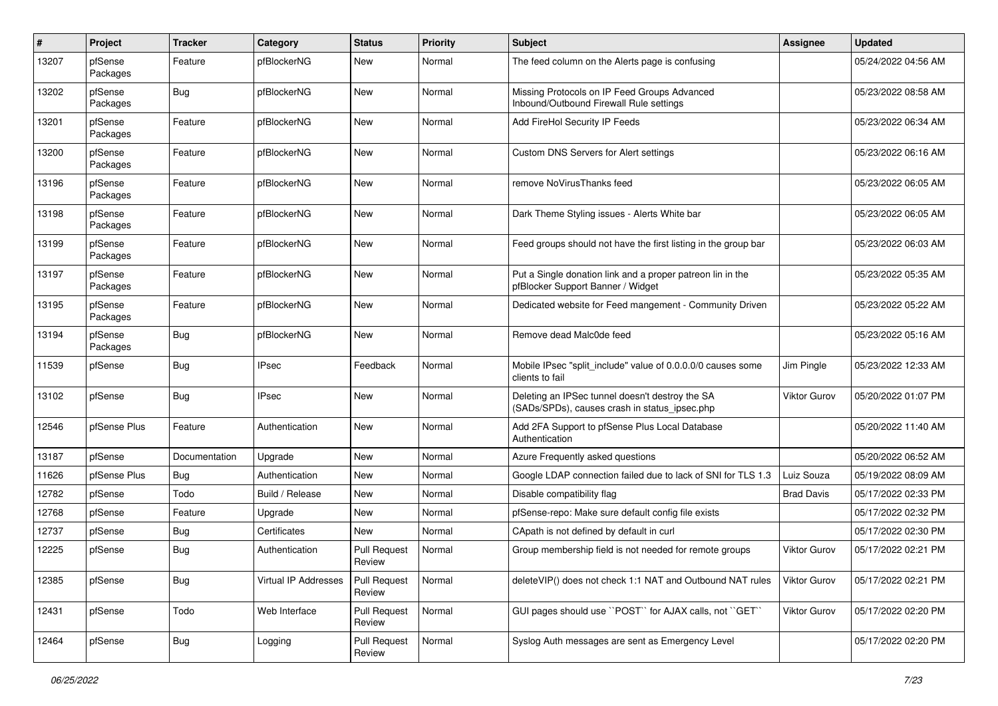| #     | Project             | <b>Tracker</b> | Category                    | <b>Status</b>                 | <b>Priority</b> | <b>Subject</b>                                                                                   | Assignee            | <b>Updated</b>      |
|-------|---------------------|----------------|-----------------------------|-------------------------------|-----------------|--------------------------------------------------------------------------------------------------|---------------------|---------------------|
| 13207 | pfSense<br>Packages | Feature        | pfBlockerNG                 | New                           | Normal          | The feed column on the Alerts page is confusing                                                  |                     | 05/24/2022 04:56 AM |
| 13202 | pfSense<br>Packages | Bug            | pfBlockerNG                 | New                           | Normal          | Missing Protocols on IP Feed Groups Advanced<br>Inbound/Outbound Firewall Rule settings          |                     | 05/23/2022 08:58 AM |
| 13201 | pfSense<br>Packages | Feature        | pfBlockerNG                 | New                           | Normal          | Add FireHol Security IP Feeds                                                                    |                     | 05/23/2022 06:34 AM |
| 13200 | pfSense<br>Packages | Feature        | pfBlockerNG                 | New                           | Normal          | <b>Custom DNS Servers for Alert settings</b>                                                     |                     | 05/23/2022 06:16 AM |
| 13196 | pfSense<br>Packages | Feature        | pfBlockerNG                 | New                           | Normal          | remove NoVirusThanks feed                                                                        |                     | 05/23/2022 06:05 AM |
| 13198 | pfSense<br>Packages | Feature        | pfBlockerNG                 | New                           | Normal          | Dark Theme Styling issues - Alerts White bar                                                     |                     | 05/23/2022 06:05 AM |
| 13199 | pfSense<br>Packages | Feature        | pfBlockerNG                 | New                           | Normal          | Feed groups should not have the first listing in the group bar                                   |                     | 05/23/2022 06:03 AM |
| 13197 | pfSense<br>Packages | Feature        | pfBlockerNG                 | New                           | Normal          | Put a Single donation link and a proper patreon lin in the<br>pfBlocker Support Banner / Widget  |                     | 05/23/2022 05:35 AM |
| 13195 | pfSense<br>Packages | Feature        | pfBlockerNG                 | New                           | Normal          | Dedicated website for Feed mangement - Community Driven                                          |                     | 05/23/2022 05:22 AM |
| 13194 | pfSense<br>Packages | Bug            | pfBlockerNG                 | New                           | Normal          | Remove dead Malc0de feed                                                                         |                     | 05/23/2022 05:16 AM |
| 11539 | pfSense             | Bug            | <b>IPsec</b>                | Feedback                      | Normal          | Mobile IPsec "split include" value of 0.0.0.0/0 causes some<br>clients to fail                   | Jim Pingle          | 05/23/2022 12:33 AM |
| 13102 | pfSense             | Bug            | <b>IPsec</b>                | New                           | Normal          | Deleting an IPSec tunnel doesn't destroy the SA<br>(SADs/SPDs), causes crash in status_ipsec.php | Viktor Gurov        | 05/20/2022 01:07 PM |
| 12546 | pfSense Plus        | Feature        | Authentication              | New                           | Normal          | Add 2FA Support to pfSense Plus Local Database<br>Authentication                                 |                     | 05/20/2022 11:40 AM |
| 13187 | pfSense             | Documentation  | Upgrade                     | <b>New</b>                    | Normal          | Azure Frequently asked questions                                                                 |                     | 05/20/2022 06:52 AM |
| 11626 | pfSense Plus        | <b>Bug</b>     | Authentication              | New                           | Normal          | Google LDAP connection failed due to lack of SNI for TLS 1.3                                     | Luiz Souza          | 05/19/2022 08:09 AM |
| 12782 | pfSense             | Todo           | Build / Release             | New                           | Normal          | Disable compatibility flag                                                                       | <b>Brad Davis</b>   | 05/17/2022 02:33 PM |
| 12768 | pfSense             | Feature        | Upgrade                     | New                           | Normal          | pfSense-repo: Make sure default config file exists                                               |                     | 05/17/2022 02:32 PM |
| 12737 | pfSense             | <b>Bug</b>     | Certificates                | New                           | Normal          | CApath is not defined by default in curl                                                         |                     | 05/17/2022 02:30 PM |
| 12225 | pfSense             | Bug            | Authentication              | <b>Pull Request</b><br>Review | Normal          | Group membership field is not needed for remote groups                                           | Viktor Gurov        | 05/17/2022 02:21 PM |
| 12385 | pfSense             | <b>Bug</b>     | <b>Virtual IP Addresses</b> | <b>Pull Request</b><br>Review | Normal          | deleteVIP() does not check 1:1 NAT and Outbound NAT rules                                        | <b>Viktor Gurov</b> | 05/17/2022 02:21 PM |
| 12431 | pfSense             | Todo           | Web Interface               | <b>Pull Request</b><br>Review | Normal          | GUI pages should use "POST" for AJAX calls, not "GET"                                            | Viktor Gurov        | 05/17/2022 02:20 PM |
| 12464 | pfSense             | Bug            | Logging                     | <b>Pull Request</b><br>Review | Normal          | Syslog Auth messages are sent as Emergency Level                                                 |                     | 05/17/2022 02:20 PM |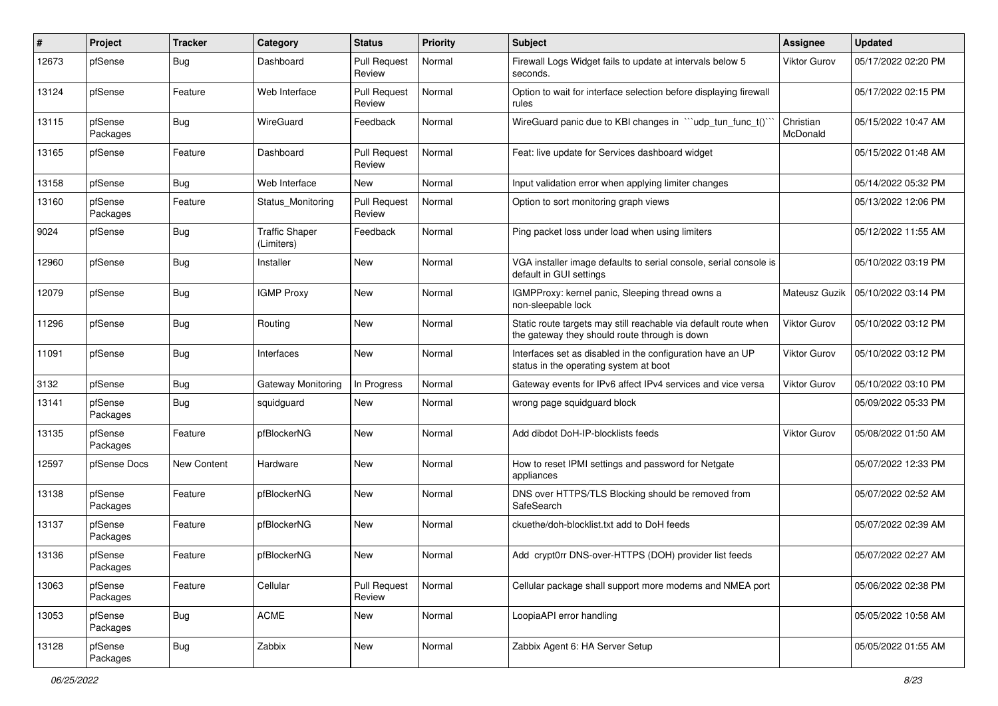| ∦     | Project             | <b>Tracker</b> | Category                            | <b>Status</b>                 | <b>Priority</b> | <b>Subject</b>                                                                                                   | <b>Assignee</b>       | <b>Updated</b>      |
|-------|---------------------|----------------|-------------------------------------|-------------------------------|-----------------|------------------------------------------------------------------------------------------------------------------|-----------------------|---------------------|
| 12673 | pfSense             | <b>Bug</b>     | Dashboard                           | <b>Pull Request</b><br>Review | Normal          | Firewall Logs Widget fails to update at intervals below 5<br>seconds.                                            | Viktor Gurov          | 05/17/2022 02:20 PM |
| 13124 | pfSense             | Feature        | Web Interface                       | <b>Pull Request</b><br>Review | Normal          | Option to wait for interface selection before displaying firewall<br>rules                                       |                       | 05/17/2022 02:15 PM |
| 13115 | pfSense<br>Packages | <b>Bug</b>     | WireGuard                           | Feedback                      | Normal          | WireGuard panic due to KBI changes in "'udp_tun_func_t()'                                                        | Christian<br>McDonald | 05/15/2022 10:47 AM |
| 13165 | pfSense             | Feature        | Dashboard                           | <b>Pull Request</b><br>Review | Normal          | Feat: live update for Services dashboard widget                                                                  |                       | 05/15/2022 01:48 AM |
| 13158 | pfSense             | Bug            | Web Interface                       | New                           | Normal          | Input validation error when applying limiter changes                                                             |                       | 05/14/2022 05:32 PM |
| 13160 | pfSense<br>Packages | Feature        | Status Monitoring                   | <b>Pull Request</b><br>Review | Normal          | Option to sort monitoring graph views                                                                            |                       | 05/13/2022 12:06 PM |
| 9024  | pfSense             | <b>Bug</b>     | <b>Traffic Shaper</b><br>(Limiters) | Feedback                      | Normal          | Ping packet loss under load when using limiters                                                                  |                       | 05/12/2022 11:55 AM |
| 12960 | pfSense             | <b>Bug</b>     | Installer                           | New                           | Normal          | VGA installer image defaults to serial console, serial console is<br>default in GUI settings                     |                       | 05/10/2022 03:19 PM |
| 12079 | pfSense             | <b>Bug</b>     | <b>IGMP Proxy</b>                   | <b>New</b>                    | Normal          | IGMPProxy: kernel panic, Sleeping thread owns a<br>non-sleepable lock                                            | Mateusz Guzik         | 05/10/2022 03:14 PM |
| 11296 | pfSense             | <b>Bug</b>     | Routing                             | New                           | Normal          | Static route targets may still reachable via default route when<br>the gateway they should route through is down | Viktor Gurov          | 05/10/2022 03:12 PM |
| 11091 | pfSense             | <b>Bug</b>     | Interfaces                          | New                           | Normal          | Interfaces set as disabled in the configuration have an UP<br>status in the operating system at boot             | Viktor Gurov          | 05/10/2022 03:12 PM |
| 3132  | pfSense             | <b>Bug</b>     | Gateway Monitoring                  | In Progress                   | Normal          | Gateway events for IPv6 affect IPv4 services and vice versa                                                      | <b>Viktor Gurov</b>   | 05/10/2022 03:10 PM |
| 13141 | pfSense<br>Packages | <b>Bug</b>     | squidguard                          | New                           | Normal          | wrong page squidguard block                                                                                      |                       | 05/09/2022 05:33 PM |
| 13135 | pfSense<br>Packages | Feature        | pfBlockerNG                         | New                           | Normal          | Add dibdot DoH-IP-blocklists feeds                                                                               | Viktor Gurov          | 05/08/2022 01:50 AM |
| 12597 | pfSense Docs        | New Content    | Hardware                            | <b>New</b>                    | Normal          | How to reset IPMI settings and password for Netgate<br>appliances                                                |                       | 05/07/2022 12:33 PM |
| 13138 | pfSense<br>Packages | Feature        | pfBlockerNG                         | New                           | Normal          | DNS over HTTPS/TLS Blocking should be removed from<br>SafeSearch                                                 |                       | 05/07/2022 02:52 AM |
| 13137 | pfSense<br>Packages | Feature        | pfBlockerNG                         | New                           | Normal          | ckuethe/doh-blocklist.txt add to DoH feeds                                                                       |                       | 05/07/2022 02:39 AM |
| 13136 | pfSense<br>Packages | Feature        | pfBlockerNG                         | New                           | Normal          | Add crypt0rr DNS-over-HTTPS (DOH) provider list feeds                                                            |                       | 05/07/2022 02:27 AM |
| 13063 | pfSense<br>Packages | Feature        | Cellular                            | <b>Pull Request</b><br>Review | Normal          | Cellular package shall support more modems and NMEA port                                                         |                       | 05/06/2022 02:38 PM |
| 13053 | pfSense<br>Packages | Bug            | <b>ACME</b>                         | New                           | Normal          | LoopiaAPI error handling                                                                                         |                       | 05/05/2022 10:58 AM |
| 13128 | pfSense<br>Packages | <b>Bug</b>     | Zabbix                              | New                           | Normal          | Zabbix Agent 6: HA Server Setup                                                                                  |                       | 05/05/2022 01:55 AM |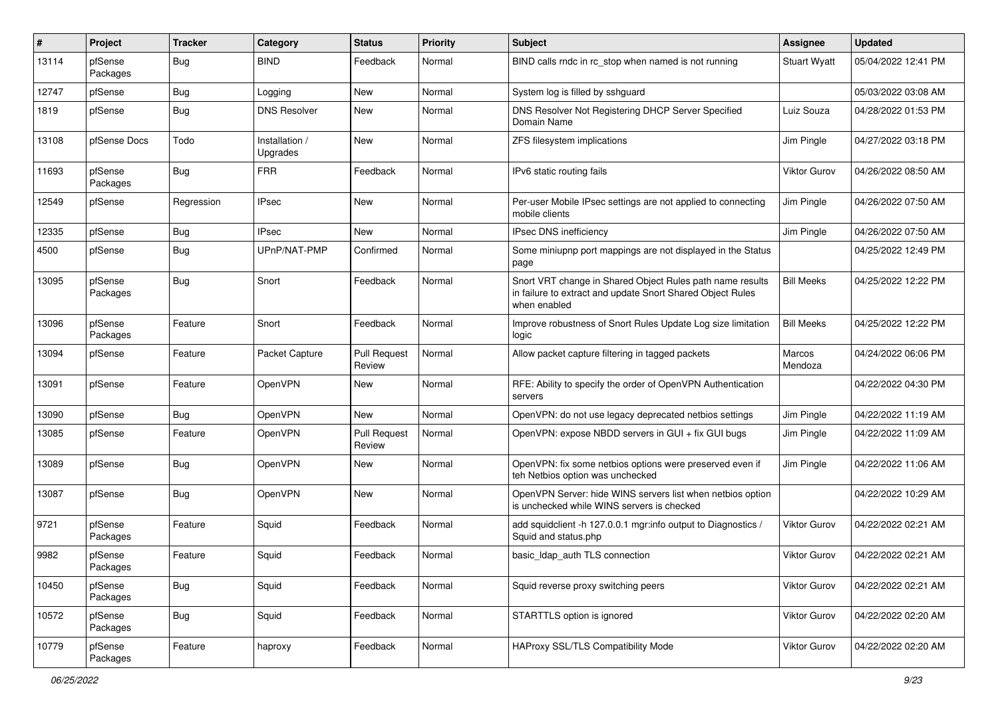| $\#$  | Project             | <b>Tracker</b> | Category                   | <b>Status</b>                 | Priority | <b>Subject</b>                                                                                                                          | Assignee            | <b>Updated</b>      |
|-------|---------------------|----------------|----------------------------|-------------------------------|----------|-----------------------------------------------------------------------------------------------------------------------------------------|---------------------|---------------------|
| 13114 | pfSense<br>Packages | <b>Bug</b>     | <b>BIND</b>                | Feedback                      | Normal   | BIND calls rndc in rc_stop when named is not running                                                                                    | <b>Stuart Wyatt</b> | 05/04/2022 12:41 PM |
| 12747 | pfSense             | <b>Bug</b>     | Logging                    | New                           | Normal   | System log is filled by sshguard                                                                                                        |                     | 05/03/2022 03:08 AM |
| 1819  | pfSense             | <b>Bug</b>     | <b>DNS Resolver</b>        | New                           | Normal   | DNS Resolver Not Registering DHCP Server Specified<br>Domain Name                                                                       | Luiz Souza          | 04/28/2022 01:53 PM |
| 13108 | pfSense Docs        | Todo           | Installation /<br>Upgrades | New                           | Normal   | ZFS filesystem implications                                                                                                             | Jim Pingle          | 04/27/2022 03:18 PM |
| 11693 | pfSense<br>Packages | Bug            | <b>FRR</b>                 | Feedback                      | Normal   | IPv6 static routing fails                                                                                                               | <b>Viktor Gurov</b> | 04/26/2022 08:50 AM |
| 12549 | pfSense             | Regression     | IPsec                      | New                           | Normal   | Per-user Mobile IPsec settings are not applied to connecting<br>mobile clients                                                          | Jim Pingle          | 04/26/2022 07:50 AM |
| 12335 | pfSense             | <b>Bug</b>     | IPsec                      | New                           | Normal   | IPsec DNS inefficiency                                                                                                                  | Jim Pingle          | 04/26/2022 07:50 AM |
| 4500  | pfSense             | Bug            | UPnP/NAT-PMP               | Confirmed                     | Normal   | Some miniupnp port mappings are not displayed in the Status<br>page                                                                     |                     | 04/25/2022 12:49 PM |
| 13095 | pfSense<br>Packages | Bug            | Snort                      | Feedback                      | Normal   | Snort VRT change in Shared Object Rules path name results<br>in failure to extract and update Snort Shared Object Rules<br>when enabled | <b>Bill Meeks</b>   | 04/25/2022 12:22 PM |
| 13096 | pfSense<br>Packages | Feature        | Snort                      | Feedback                      | Normal   | Improve robustness of Snort Rules Update Log size limitation<br>logic                                                                   | <b>Bill Meeks</b>   | 04/25/2022 12:22 PM |
| 13094 | pfSense             | Feature        | Packet Capture             | <b>Pull Request</b><br>Review | Normal   | Allow packet capture filtering in tagged packets                                                                                        | Marcos<br>Mendoza   | 04/24/2022 06:06 PM |
| 13091 | pfSense             | Feature        | OpenVPN                    | New                           | Normal   | RFE: Ability to specify the order of OpenVPN Authentication<br>servers                                                                  |                     | 04/22/2022 04:30 PM |
| 13090 | pfSense             | <b>Bug</b>     | <b>OpenVPN</b>             | New                           | Normal   | OpenVPN: do not use legacy deprecated netbios settings                                                                                  | Jim Pingle          | 04/22/2022 11:19 AM |
| 13085 | pfSense             | Feature        | OpenVPN                    | <b>Pull Request</b><br>Review | Normal   | OpenVPN: expose NBDD servers in GUI + fix GUI bugs                                                                                      | Jim Pingle          | 04/22/2022 11:09 AM |
| 13089 | pfSense             | Bug            | OpenVPN                    | New                           | Normal   | OpenVPN: fix some netbios options were preserved even if<br>teh Netbios option was unchecked                                            | Jim Pingle          | 04/22/2022 11:06 AM |
| 13087 | pfSense             | <b>Bug</b>     | OpenVPN                    | New                           | Normal   | OpenVPN Server: hide WINS servers list when netbios option<br>is unchecked while WINS servers is checked                                |                     | 04/22/2022 10:29 AM |
| 9721  | pfSense<br>Packages | Feature        | Squid                      | Feedback                      | Normal   | add squidclient -h 127.0.0.1 mgr:info output to Diagnostics /<br>Squid and status.php                                                   | Viktor Gurov        | 04/22/2022 02:21 AM |
| 9982  | pfSense<br>Packages | Feature        | Squid                      | Feedback                      | Normal   | basic_Idap_auth TLS connection                                                                                                          | <b>Viktor Gurov</b> | 04/22/2022 02:21 AM |
| 10450 | pfSense<br>Packages | Bug            | Squid                      | Feedback                      | Normal   | Squid reverse proxy switching peers                                                                                                     | <b>Viktor Gurov</b> | 04/22/2022 02:21 AM |
| 10572 | pfSense<br>Packages | <b>Bug</b>     | Squid                      | Feedback                      | Normal   | STARTTLS option is ignored                                                                                                              | Viktor Gurov        | 04/22/2022 02:20 AM |
| 10779 | pfSense<br>Packages | Feature        | haproxy                    | Feedback                      | Normal   | HAProxy SSL/TLS Compatibility Mode                                                                                                      | Viktor Gurov        | 04/22/2022 02:20 AM |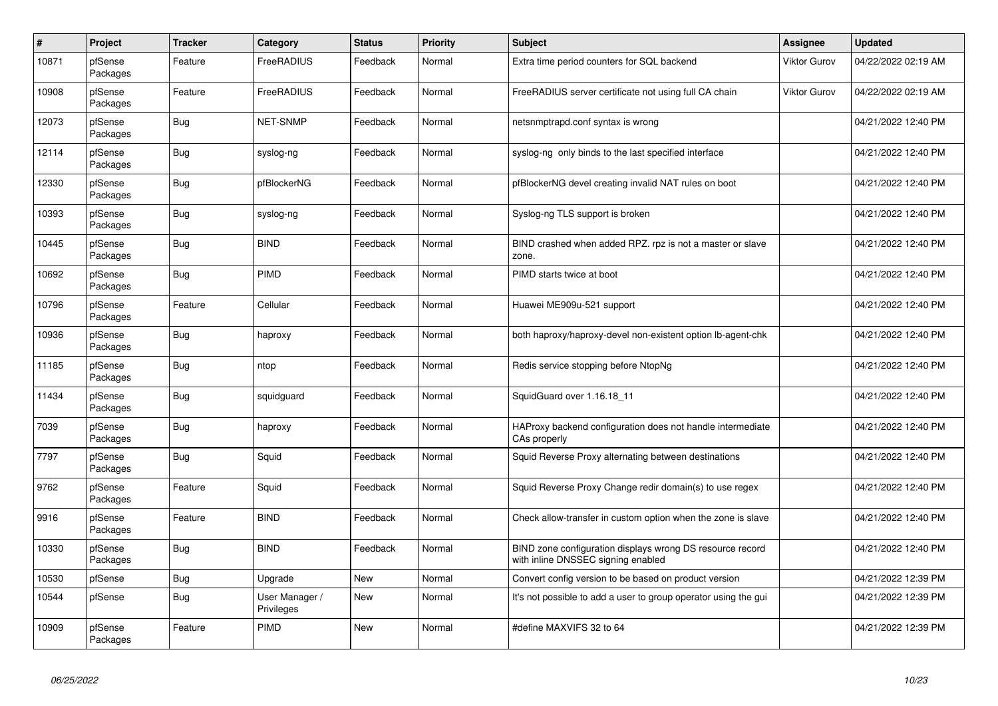| $\overline{\boldsymbol{H}}$ | Project             | <b>Tracker</b> | Category                     | <b>Status</b> | <b>Priority</b> | <b>Subject</b>                                                                                  | Assignee     | <b>Updated</b>      |
|-----------------------------|---------------------|----------------|------------------------------|---------------|-----------------|-------------------------------------------------------------------------------------------------|--------------|---------------------|
| 10871                       | pfSense<br>Packages | Feature        | FreeRADIUS                   | Feedback      | Normal          | Extra time period counters for SQL backend                                                      | Viktor Gurov | 04/22/2022 02:19 AM |
| 10908                       | pfSense<br>Packages | Feature        | FreeRADIUS                   | Feedback      | Normal          | FreeRADIUS server certificate not using full CA chain                                           | Viktor Gurov | 04/22/2022 02:19 AM |
| 12073                       | pfSense<br>Packages | <b>Bug</b>     | <b>NET-SNMP</b>              | Feedback      | Normal          | netsnmptrapd.conf syntax is wrong                                                               |              | 04/21/2022 12:40 PM |
| 12114                       | pfSense<br>Packages | <b>Bug</b>     | syslog-ng                    | Feedback      | Normal          | syslog-ng only binds to the last specified interface                                            |              | 04/21/2022 12:40 PM |
| 12330                       | pfSense<br>Packages | <b>Bug</b>     | pfBlockerNG                  | Feedback      | Normal          | pfBlockerNG devel creating invalid NAT rules on boot                                            |              | 04/21/2022 12:40 PM |
| 10393                       | pfSense<br>Packages | <b>Bug</b>     | syslog-ng                    | Feedback      | Normal          | Syslog-ng TLS support is broken                                                                 |              | 04/21/2022 12:40 PM |
| 10445                       | pfSense<br>Packages | Bug            | <b>BIND</b>                  | Feedback      | Normal          | BIND crashed when added RPZ. rpz is not a master or slave<br>zone.                              |              | 04/21/2022 12:40 PM |
| 10692                       | pfSense<br>Packages | <b>Bug</b>     | PIMD                         | Feedback      | Normal          | PIMD starts twice at boot                                                                       |              | 04/21/2022 12:40 PM |
| 10796                       | pfSense<br>Packages | Feature        | Cellular                     | Feedback      | Normal          | Huawei ME909u-521 support                                                                       |              | 04/21/2022 12:40 PM |
| 10936                       | pfSense<br>Packages | Bug            | haproxy                      | Feedback      | Normal          | both haproxy/haproxy-devel non-existent option lb-agent-chk                                     |              | 04/21/2022 12:40 PM |
| 11185                       | pfSense<br>Packages | Bug            | ntop                         | Feedback      | Normal          | Redis service stopping before NtopNg                                                            |              | 04/21/2022 12:40 PM |
| 11434                       | pfSense<br>Packages | Bug            | squidguard                   | Feedback      | Normal          | SquidGuard over 1.16.18 11                                                                      |              | 04/21/2022 12:40 PM |
| 7039                        | pfSense<br>Packages | <b>Bug</b>     | haproxy                      | Feedback      | Normal          | HAProxy backend configuration does not handle intermediate<br>CAs properly                      |              | 04/21/2022 12:40 PM |
| 7797                        | pfSense<br>Packages | Bug            | Squid                        | Feedback      | Normal          | Squid Reverse Proxy alternating between destinations                                            |              | 04/21/2022 12:40 PM |
| 9762                        | pfSense<br>Packages | Feature        | Squid                        | Feedback      | Normal          | Squid Reverse Proxy Change redir domain(s) to use regex                                         |              | 04/21/2022 12:40 PM |
| 9916                        | pfSense<br>Packages | Feature        | <b>BIND</b>                  | Feedback      | Normal          | Check allow-transfer in custom option when the zone is slave                                    |              | 04/21/2022 12:40 PM |
| 10330                       | pfSense<br>Packages | <b>Bug</b>     | <b>BIND</b>                  | Feedback      | Normal          | BIND zone configuration displays wrong DS resource record<br>with inline DNSSEC signing enabled |              | 04/21/2022 12:40 PM |
| 10530                       | pfSense             | <b>Bug</b>     | Upgrade                      | New           | Normal          | Convert config version to be based on product version                                           |              | 04/21/2022 12:39 PM |
| 10544                       | pfSense             | Bug            | User Manager /<br>Privileges | New           | Normal          | It's not possible to add a user to group operator using the gui                                 |              | 04/21/2022 12:39 PM |
| 10909                       | pfSense<br>Packages | Feature        | <b>PIMD</b>                  | <b>New</b>    | Normal          | #define MAXVIFS 32 to 64                                                                        |              | 04/21/2022 12:39 PM |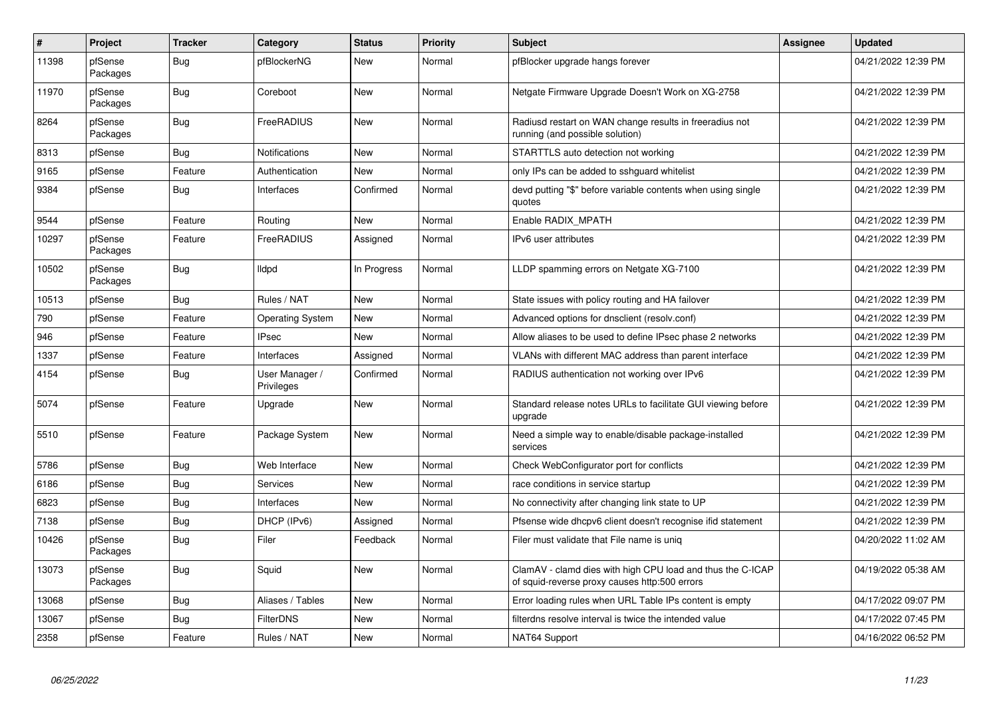| $\vert$ # | Project             | <b>Tracker</b> | Category                     | <b>Status</b> | <b>Priority</b> | <b>Subject</b>                                                                                              | Assignee | <b>Updated</b>      |
|-----------|---------------------|----------------|------------------------------|---------------|-----------------|-------------------------------------------------------------------------------------------------------------|----------|---------------------|
| 11398     | pfSense<br>Packages | Bug            | pfBlockerNG                  | New           | Normal          | pfBlocker upgrade hangs forever                                                                             |          | 04/21/2022 12:39 PM |
| 11970     | pfSense<br>Packages | <b>Bug</b>     | Coreboot                     | New           | Normal          | Netgate Firmware Upgrade Doesn't Work on XG-2758                                                            |          | 04/21/2022 12:39 PM |
| 8264      | pfSense<br>Packages | <b>Bug</b>     | FreeRADIUS                   | New           | Normal          | Radiusd restart on WAN change results in freeradius not<br>running (and possible solution)                  |          | 04/21/2022 12:39 PM |
| 8313      | pfSense             | <b>Bug</b>     | <b>Notifications</b>         | <b>New</b>    | Normal          | STARTTLS auto detection not working                                                                         |          | 04/21/2022 12:39 PM |
| 9165      | pfSense             | Feature        | Authentication               | <b>New</b>    | Normal          | only IPs can be added to sshguard whitelist                                                                 |          | 04/21/2022 12:39 PM |
| 9384      | pfSense             | <b>Bug</b>     | Interfaces                   | Confirmed     | Normal          | devd putting "\$" before variable contents when using single<br>quotes                                      |          | 04/21/2022 12:39 PM |
| 9544      | pfSense             | Feature        | Routing                      | <b>New</b>    | Normal          | Enable RADIX_MPATH                                                                                          |          | 04/21/2022 12:39 PM |
| 10297     | pfSense<br>Packages | Feature        | FreeRADIUS                   | Assigned      | Normal          | IPv6 user attributes                                                                                        |          | 04/21/2022 12:39 PM |
| 10502     | pfSense<br>Packages | Bug            | <b>Ildpd</b>                 | In Progress   | Normal          | LLDP spamming errors on Netgate XG-7100                                                                     |          | 04/21/2022 12:39 PM |
| 10513     | pfSense             | Bug            | Rules / NAT                  | <b>New</b>    | Normal          | State issues with policy routing and HA failover                                                            |          | 04/21/2022 12:39 PM |
| 790       | pfSense             | Feature        | <b>Operating System</b>      | <b>New</b>    | Normal          | Advanced options for dnsclient (resolv.conf)                                                                |          | 04/21/2022 12:39 PM |
| 946       | pfSense             | Feature        | <b>IPsec</b>                 | <b>New</b>    | Normal          | Allow aliases to be used to define IPsec phase 2 networks                                                   |          | 04/21/2022 12:39 PM |
| 1337      | pfSense             | Feature        | Interfaces                   | Assigned      | Normal          | VLANs with different MAC address than parent interface                                                      |          | 04/21/2022 12:39 PM |
| 4154      | pfSense             | Bug            | User Manager /<br>Privileges | Confirmed     | Normal          | RADIUS authentication not working over IPv6                                                                 |          | 04/21/2022 12:39 PM |
| 5074      | pfSense             | Feature        | Upgrade                      | <b>New</b>    | Normal          | Standard release notes URLs to facilitate GUI viewing before<br>upgrade                                     |          | 04/21/2022 12:39 PM |
| 5510      | pfSense             | Feature        | Package System               | <b>New</b>    | Normal          | Need a simple way to enable/disable package-installed<br>services                                           |          | 04/21/2022 12:39 PM |
| 5786      | pfSense             | <b>Bug</b>     | Web Interface                | <b>New</b>    | Normal          | Check WebConfigurator port for conflicts                                                                    |          | 04/21/2022 12:39 PM |
| 6186      | pfSense             | Bug            | Services                     | <b>New</b>    | Normal          | race conditions in service startup                                                                          |          | 04/21/2022 12:39 PM |
| 6823      | pfSense             | <b>Bug</b>     | Interfaces                   | <b>New</b>    | Normal          | No connectivity after changing link state to UP                                                             |          | 04/21/2022 12:39 PM |
| 7138      | pfSense             | Bug            | DHCP (IPv6)                  | Assigned      | Normal          | Pfsense wide dhcpv6 client doesn't recognise ifid statement                                                 |          | 04/21/2022 12:39 PM |
| 10426     | pfSense<br>Packages | <b>Bug</b>     | Filer                        | Feedback      | Normal          | Filer must validate that File name is uniq                                                                  |          | 04/20/2022 11:02 AM |
| 13073     | pfSense<br>Packages | Bug            | Squid                        | New           | Normal          | ClamAV - clamd dies with high CPU load and thus the C-ICAP<br>of squid-reverse proxy causes http:500 errors |          | 04/19/2022 05:38 AM |
| 13068     | pfSense             | Bug            | Aliases / Tables             | New           | Normal          | Error loading rules when URL Table IPs content is empty                                                     |          | 04/17/2022 09:07 PM |
| 13067     | pfSense             | Bug            | <b>FilterDNS</b>             | <b>New</b>    | Normal          | filterdns resolve interval is twice the intended value                                                      |          | 04/17/2022 07:45 PM |
| 2358      | pfSense             | Feature        | Rules / NAT                  | New           | Normal          | NAT64 Support                                                                                               |          | 04/16/2022 06:52 PM |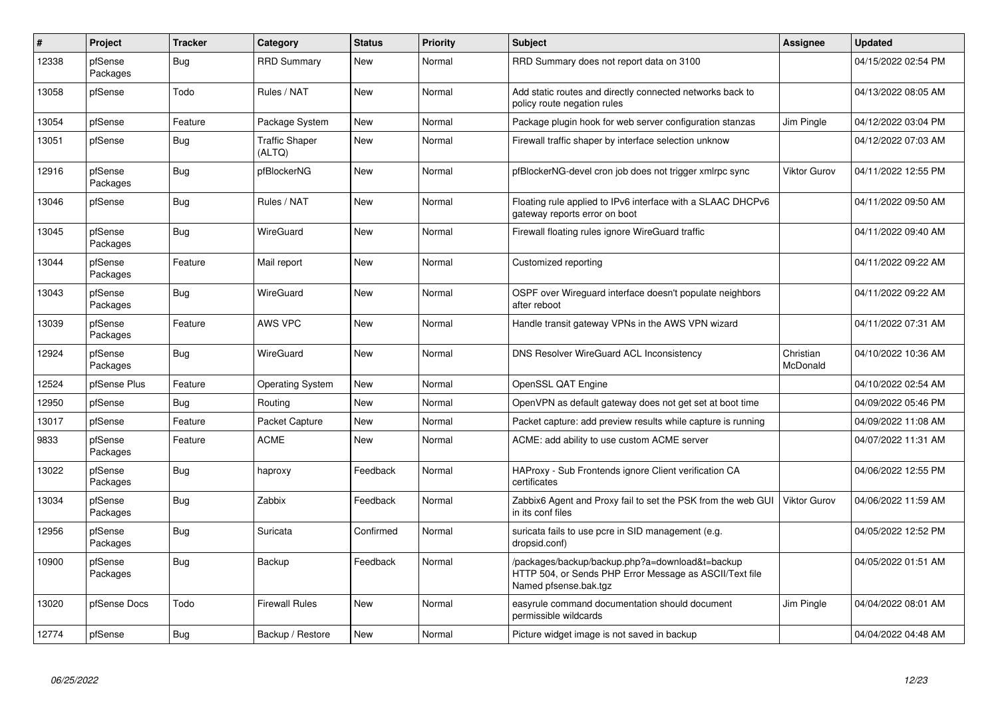| $\pmb{\#}$ | Project             | <b>Tracker</b> | Category                        | <b>Status</b> | <b>Priority</b> | <b>Subject</b>                                                                                                                      | Assignee              | <b>Updated</b>      |
|------------|---------------------|----------------|---------------------------------|---------------|-----------------|-------------------------------------------------------------------------------------------------------------------------------------|-----------------------|---------------------|
| 12338      | pfSense<br>Packages | Bug            | <b>RRD Summary</b>              | New           | Normal          | RRD Summary does not report data on 3100                                                                                            |                       | 04/15/2022 02:54 PM |
| 13058      | pfSense             | Todo           | Rules / NAT                     | New           | Normal          | Add static routes and directly connected networks back to<br>policy route negation rules                                            |                       | 04/13/2022 08:05 AM |
| 13054      | pfSense             | Feature        | Package System                  | New           | Normal          | Package plugin hook for web server configuration stanzas                                                                            | Jim Pingle            | 04/12/2022 03:04 PM |
| 13051      | pfSense             | Bug            | <b>Traffic Shaper</b><br>(ALTQ) | New           | Normal          | Firewall traffic shaper by interface selection unknow                                                                               |                       | 04/12/2022 07:03 AM |
| 12916      | pfSense<br>Packages | Bug            | pfBlockerNG                     | New           | Normal          | pfBlockerNG-devel cron job does not trigger xmlrpc sync                                                                             | Viktor Gurov          | 04/11/2022 12:55 PM |
| 13046      | pfSense             | Bug            | Rules / NAT                     | New           | Normal          | Floating rule applied to IPv6 interface with a SLAAC DHCPv6<br>gateway reports error on boot                                        |                       | 04/11/2022 09:50 AM |
| 13045      | pfSense<br>Packages | <b>Bug</b>     | WireGuard                       | New           | Normal          | Firewall floating rules ignore WireGuard traffic                                                                                    |                       | 04/11/2022 09:40 AM |
| 13044      | pfSense<br>Packages | Feature        | Mail report                     | New           | Normal          | Customized reporting                                                                                                                |                       | 04/11/2022 09:22 AM |
| 13043      | pfSense<br>Packages | Bug            | WireGuard                       | New           | Normal          | OSPF over Wireguard interface doesn't populate neighbors<br>after reboot                                                            |                       | 04/11/2022 09:22 AM |
| 13039      | pfSense<br>Packages | Feature        | AWS VPC                         | New           | Normal          | Handle transit gateway VPNs in the AWS VPN wizard                                                                                   |                       | 04/11/2022 07:31 AM |
| 12924      | pfSense<br>Packages | <b>Bug</b>     | WireGuard                       | New           | Normal          | DNS Resolver WireGuard ACL Inconsistency                                                                                            | Christian<br>McDonald | 04/10/2022 10:36 AM |
| 12524      | pfSense Plus        | Feature        | <b>Operating System</b>         | New           | Normal          | OpenSSL QAT Engine                                                                                                                  |                       | 04/10/2022 02:54 AM |
| 12950      | pfSense             | Bug            | Routing                         | New           | Normal          | OpenVPN as default gateway does not get set at boot time                                                                            |                       | 04/09/2022 05:46 PM |
| 13017      | pfSense             | Feature        | Packet Capture                  | New           | Normal          | Packet capture: add preview results while capture is running                                                                        |                       | 04/09/2022 11:08 AM |
| 9833       | pfSense<br>Packages | Feature        | <b>ACME</b>                     | New           | Normal          | ACME: add ability to use custom ACME server                                                                                         |                       | 04/07/2022 11:31 AM |
| 13022      | pfSense<br>Packages | <b>Bug</b>     | haproxy                         | Feedback      | Normal          | HAProxy - Sub Frontends ignore Client verification CA<br>certificates                                                               |                       | 04/06/2022 12:55 PM |
| 13034      | pfSense<br>Packages | <b>Bug</b>     | Zabbix                          | Feedback      | Normal          | Zabbix6 Agent and Proxy fail to set the PSK from the web GUI<br>in its conf files                                                   | <b>Viktor Gurov</b>   | 04/06/2022 11:59 AM |
| 12956      | pfSense<br>Packages | Bug            | Suricata                        | Confirmed     | Normal          | suricata fails to use pcre in SID management (e.g.<br>dropsid.conf)                                                                 |                       | 04/05/2022 12:52 PM |
| 10900      | pfSense<br>Packages | <b>Bug</b>     | Backup                          | Feedback      | Normal          | /packages/backup/backup.php?a=download&t=backup<br>HTTP 504, or Sends PHP Error Message as ASCII/Text file<br>Named pfsense.bak.tgz |                       | 04/05/2022 01:51 AM |
| 13020      | pfSense Docs        | Todo           | <b>Firewall Rules</b>           | New           | Normal          | easyrule command documentation should document<br>permissible wildcards                                                             | Jim Pingle            | 04/04/2022 08:01 AM |
| 12774      | pfSense             | <b>Bug</b>     | Backup / Restore                | New           | Normal          | Picture widget image is not saved in backup                                                                                         |                       | 04/04/2022 04:48 AM |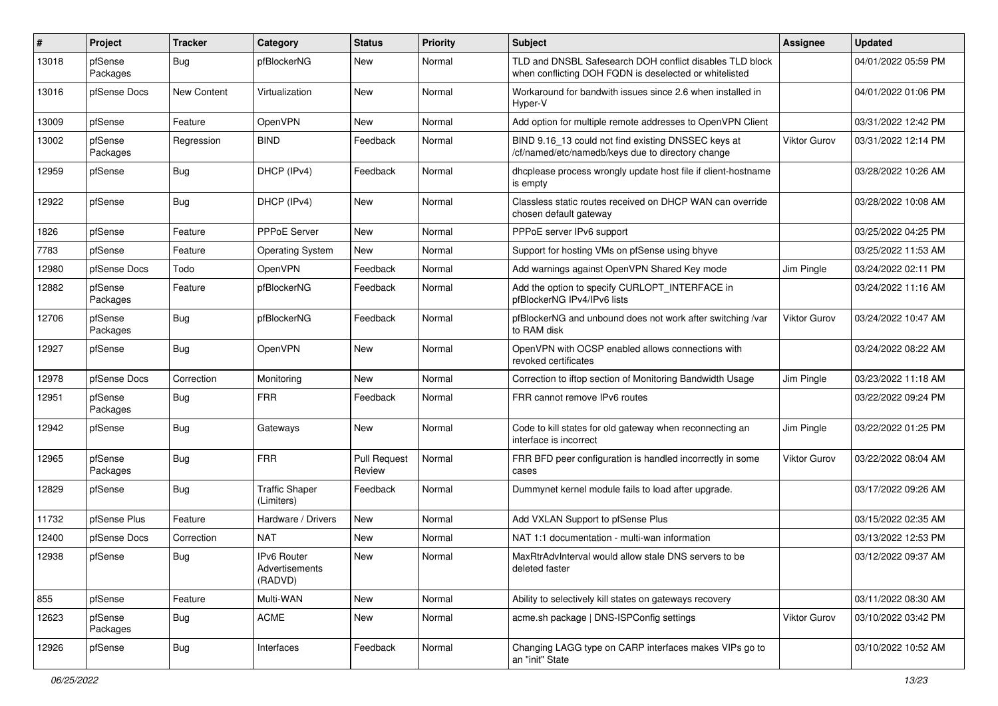| #     | Project             | <b>Tracker</b> | Category                                 | <b>Status</b>                 | <b>Priority</b> | <b>Subject</b>                                                                                                     | <b>Assignee</b>     | <b>Updated</b>      |
|-------|---------------------|----------------|------------------------------------------|-------------------------------|-----------------|--------------------------------------------------------------------------------------------------------------------|---------------------|---------------------|
| 13018 | pfSense<br>Packages | <b>Bug</b>     | pfBlockerNG                              | New                           | Normal          | TLD and DNSBL Safesearch DOH conflict disables TLD block<br>when conflicting DOH FQDN is deselected or whitelisted |                     | 04/01/2022 05:59 PM |
| 13016 | pfSense Docs        | New Content    | Virtualization                           | New                           | Normal          | Workaround for bandwith issues since 2.6 when installed in<br>Hyper-V                                              |                     | 04/01/2022 01:06 PM |
| 13009 | pfSense             | Feature        | OpenVPN                                  | New                           | Normal          | Add option for multiple remote addresses to OpenVPN Client                                                         |                     | 03/31/2022 12:42 PM |
| 13002 | pfSense<br>Packages | Regression     | <b>BIND</b>                              | Feedback                      | Normal          | BIND 9.16_13 could not find existing DNSSEC keys at<br>/cf/named/etc/namedb/keys due to directory change           | <b>Viktor Gurov</b> | 03/31/2022 12:14 PM |
| 12959 | pfSense             | <b>Bug</b>     | DHCP (IPv4)                              | Feedback                      | Normal          | dhcplease process wrongly update host file if client-hostname<br>is empty                                          |                     | 03/28/2022 10:26 AM |
| 12922 | pfSense             | Bug            | DHCP (IPv4)                              | New                           | Normal          | Classless static routes received on DHCP WAN can override<br>chosen default gateway                                |                     | 03/28/2022 10:08 AM |
| 1826  | pfSense             | Feature        | <b>PPPoE Server</b>                      | New                           | Normal          | PPPoE server IPv6 support                                                                                          |                     | 03/25/2022 04:25 PM |
| 7783  | pfSense             | Feature        | <b>Operating System</b>                  | New                           | Normal          | Support for hosting VMs on pfSense using bhyve                                                                     |                     | 03/25/2022 11:53 AM |
| 12980 | pfSense Docs        | Todo           | OpenVPN                                  | Feedback                      | Normal          | Add warnings against OpenVPN Shared Key mode                                                                       | Jim Pingle          | 03/24/2022 02:11 PM |
| 12882 | pfSense<br>Packages | Feature        | pfBlockerNG                              | Feedback                      | Normal          | Add the option to specify CURLOPT_INTERFACE in<br>pfBlockerNG IPv4/IPv6 lists                                      |                     | 03/24/2022 11:16 AM |
| 12706 | pfSense<br>Packages | <b>Bug</b>     | pfBlockerNG                              | Feedback                      | Normal          | pfBlockerNG and unbound does not work after switching /var<br>to RAM disk                                          | Viktor Gurov        | 03/24/2022 10:47 AM |
| 12927 | pfSense             | <b>Bug</b>     | OpenVPN                                  | New                           | Normal          | OpenVPN with OCSP enabled allows connections with<br>revoked certificates                                          |                     | 03/24/2022 08:22 AM |
| 12978 | pfSense Docs        | Correction     | Monitoring                               | New                           | Normal          | Correction to iftop section of Monitoring Bandwidth Usage                                                          | Jim Pingle          | 03/23/2022 11:18 AM |
| 12951 | pfSense<br>Packages | Bug            | <b>FRR</b>                               | Feedback                      | Normal          | FRR cannot remove IPv6 routes                                                                                      |                     | 03/22/2022 09:24 PM |
| 12942 | pfSense             | <b>Bug</b>     | Gateways                                 | New                           | Normal          | Code to kill states for old gateway when reconnecting an<br>interface is incorrect                                 | Jim Pingle          | 03/22/2022 01:25 PM |
| 12965 | pfSense<br>Packages | <b>Bug</b>     | <b>FRR</b>                               | <b>Pull Request</b><br>Review | Normal          | FRR BFD peer configuration is handled incorrectly in some<br>cases                                                 | Viktor Gurov        | 03/22/2022 08:04 AM |
| 12829 | pfSense             | <b>Bug</b>     | <b>Traffic Shaper</b><br>(Limiters)      | Feedback                      | Normal          | Dummynet kernel module fails to load after upgrade.                                                                |                     | 03/17/2022 09:26 AM |
| 11732 | pfSense Plus        | Feature        | Hardware / Drivers                       | New                           | Normal          | Add VXLAN Support to pfSense Plus                                                                                  |                     | 03/15/2022 02:35 AM |
| 12400 | pfSense Docs        | Correction     | <b>NAT</b>                               | New                           | Normal          | NAT 1:1 documentation - multi-wan information                                                                      |                     | 03/13/2022 12:53 PM |
| 12938 | pfSense             | <b>Bug</b>     | IPv6 Router<br>Advertisements<br>(RADVD) | New                           | Normal          | MaxRtrAdvInterval would allow stale DNS servers to be<br>deleted faster                                            |                     | 03/12/2022 09:37 AM |
| 855   | pfSense             | Feature        | Multi-WAN                                | New                           | Normal          | Ability to selectively kill states on gateways recovery                                                            |                     | 03/11/2022 08:30 AM |
| 12623 | pfSense<br>Packages | <b>Bug</b>     | ACME                                     | New                           | Normal          | acme.sh package   DNS-ISPConfig settings                                                                           | <b>Viktor Gurov</b> | 03/10/2022 03:42 PM |
| 12926 | pfSense             | Bug            | Interfaces                               | Feedback                      | Normal          | Changing LAGG type on CARP interfaces makes VIPs go to<br>an "init" State                                          |                     | 03/10/2022 10:52 AM |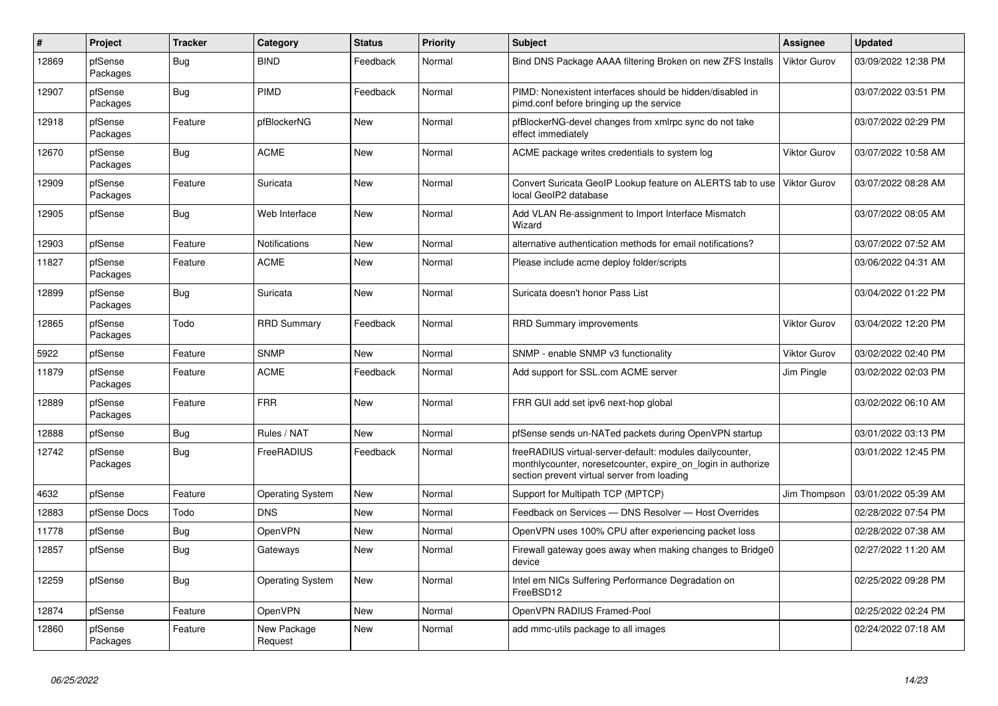| $\vert$ # | Project             | <b>Tracker</b> | Category                | <b>Status</b> | <b>Priority</b> | <b>Subject</b>                                                                                                                                                          | <b>Assignee</b>     | <b>Updated</b>      |
|-----------|---------------------|----------------|-------------------------|---------------|-----------------|-------------------------------------------------------------------------------------------------------------------------------------------------------------------------|---------------------|---------------------|
| 12869     | pfSense<br>Packages | Bug            | <b>BIND</b>             | Feedback      | Normal          | Bind DNS Package AAAA filtering Broken on new ZFS Installs                                                                                                              | <b>Viktor Gurov</b> | 03/09/2022 12:38 PM |
| 12907     | pfSense<br>Packages | Bug            | PIMD                    | Feedback      | Normal          | PIMD: Nonexistent interfaces should be hidden/disabled in<br>pimd.conf before bringing up the service                                                                   |                     | 03/07/2022 03:51 PM |
| 12918     | pfSense<br>Packages | Feature        | pfBlockerNG             | New           | Normal          | pfBlockerNG-devel changes from xmlrpc sync do not take<br>effect immediately                                                                                            |                     | 03/07/2022 02:29 PM |
| 12670     | pfSense<br>Packages | Bug            | <b>ACME</b>             | New           | Normal          | ACME package writes credentials to system log                                                                                                                           | <b>Viktor Gurov</b> | 03/07/2022 10:58 AM |
| 12909     | pfSense<br>Packages | Feature        | Suricata                | New           | Normal          | Convert Suricata GeoIP Lookup feature on ALERTS tab to use<br>local GeoIP2 database                                                                                     | Viktor Gurov        | 03/07/2022 08:28 AM |
| 12905     | pfSense             | Bug            | Web Interface           | New           | Normal          | Add VLAN Re-assignment to Import Interface Mismatch<br>Wizard                                                                                                           |                     | 03/07/2022 08:05 AM |
| 12903     | pfSense             | Feature        | <b>Notifications</b>    | <b>New</b>    | Normal          | alternative authentication methods for email notifications?                                                                                                             |                     | 03/07/2022 07:52 AM |
| 11827     | pfSense<br>Packages | Feature        | <b>ACME</b>             | <b>New</b>    | Normal          | Please include acme deploy folder/scripts                                                                                                                               |                     | 03/06/2022 04:31 AM |
| 12899     | pfSense<br>Packages | Bug            | Suricata                | New           | Normal          | Suricata doesn't honor Pass List                                                                                                                                        |                     | 03/04/2022 01:22 PM |
| 12865     | pfSense<br>Packages | Todo           | <b>RRD Summary</b>      | Feedback      | Normal          | <b>RRD Summary improvements</b>                                                                                                                                         | Viktor Gurov        | 03/04/2022 12:20 PM |
| 5922      | pfSense             | Feature        | <b>SNMP</b>             | New           | Normal          | SNMP - enable SNMP v3 functionality                                                                                                                                     | <b>Viktor Gurov</b> | 03/02/2022 02:40 PM |
| 11879     | pfSense<br>Packages | Feature        | <b>ACME</b>             | Feedback      | Normal          | Add support for SSL.com ACME server                                                                                                                                     | Jim Pingle          | 03/02/2022 02:03 PM |
| 12889     | pfSense<br>Packages | Feature        | <b>FRR</b>              | <b>New</b>    | Normal          | FRR GUI add set ipv6 next-hop global                                                                                                                                    |                     | 03/02/2022 06:10 AM |
| 12888     | pfSense             | <b>Bug</b>     | Rules / NAT             | New           | Normal          | pfSense sends un-NATed packets during OpenVPN startup                                                                                                                   |                     | 03/01/2022 03:13 PM |
| 12742     | pfSense<br>Packages | <b>Bug</b>     | FreeRADIUS              | Feedback      | Normal          | freeRADIUS virtual-server-default: modules dailycounter,<br>monthlycounter, noresetcounter, expire on login in authorize<br>section prevent virtual server from loading |                     | 03/01/2022 12:45 PM |
| 4632      | pfSense             | Feature        | <b>Operating System</b> | New           | Normal          | Support for Multipath TCP (MPTCP)                                                                                                                                       | Jim Thompson        | 03/01/2022 05:39 AM |
| 12883     | pfSense Docs        | Todo           | <b>DNS</b>              | New           | Normal          | Feedback on Services - DNS Resolver - Host Overrides                                                                                                                    |                     | 02/28/2022 07:54 PM |
| 11778     | pfSense             | <b>Bug</b>     | OpenVPN                 | New           | Normal          | OpenVPN uses 100% CPU after experiencing packet loss                                                                                                                    |                     | 02/28/2022 07:38 AM |
| 12857     | pfSense             | <b>Bug</b>     | Gateways                | New           | Normal          | Firewall gateway goes away when making changes to Bridge0<br>device                                                                                                     |                     | 02/27/2022 11:20 AM |
| 12259     | pfSense             | <b>Bug</b>     | <b>Operating System</b> | <b>New</b>    | Normal          | Intel em NICs Suffering Performance Degradation on<br>FreeBSD12                                                                                                         |                     | 02/25/2022 09:28 PM |
| 12874     | pfSense             | Feature        | OpenVPN                 | New           | Normal          | OpenVPN RADIUS Framed-Pool                                                                                                                                              |                     | 02/25/2022 02:24 PM |
| 12860     | pfSense<br>Packages | Feature        | New Package<br>Request  | New           | Normal          | add mmc-utils package to all images                                                                                                                                     |                     | 02/24/2022 07:18 AM |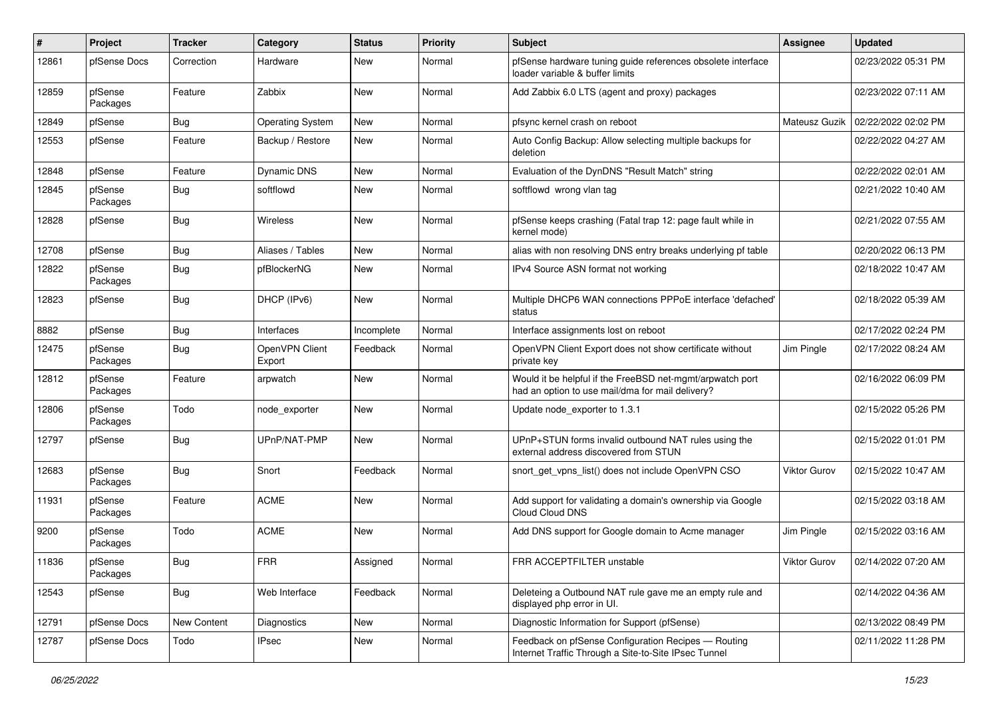| #     | Project             | <b>Tracker</b> | Category                 | <b>Status</b> | <b>Priority</b> | <b>Subject</b>                                                                                                | <b>Assignee</b> | <b>Updated</b>      |
|-------|---------------------|----------------|--------------------------|---------------|-----------------|---------------------------------------------------------------------------------------------------------------|-----------------|---------------------|
| 12861 | pfSense Docs        | Correction     | Hardware                 | New           | Normal          | pfSense hardware tuning guide references obsolete interface<br>loader variable & buffer limits                |                 | 02/23/2022 05:31 PM |
| 12859 | pfSense<br>Packages | Feature        | Zabbix                   | New           | Normal          | Add Zabbix 6.0 LTS (agent and proxy) packages                                                                 |                 | 02/23/2022 07:11 AM |
| 12849 | pfSense             | <b>Bug</b>     | <b>Operating System</b>  | New           | Normal          | pfsync kernel crash on reboot                                                                                 | Mateusz Guzik   | 02/22/2022 02:02 PM |
| 12553 | pfSense             | Feature        | Backup / Restore         | New           | Normal          | Auto Config Backup: Allow selecting multiple backups for<br>deletion                                          |                 | 02/22/2022 04:27 AM |
| 12848 | pfSense             | Feature        | <b>Dynamic DNS</b>       | New           | Normal          | Evaluation of the DynDNS "Result Match" string                                                                |                 | 02/22/2022 02:01 AM |
| 12845 | pfSense<br>Packages | <b>Bug</b>     | softflowd                | New           | Normal          | softflowd wrong vlan tag                                                                                      |                 | 02/21/2022 10:40 AM |
| 12828 | pfSense             | <b>Bug</b>     | <b>Wireless</b>          | New           | Normal          | pfSense keeps crashing (Fatal trap 12: page fault while in<br>kernel mode)                                    |                 | 02/21/2022 07:55 AM |
| 12708 | pfSense             | Bug            | Aliases / Tables         | <b>New</b>    | Normal          | alias with non resolving DNS entry breaks underlying pf table                                                 |                 | 02/20/2022 06:13 PM |
| 12822 | pfSense<br>Packages | <b>Bug</b>     | pfBlockerNG              | New           | Normal          | IPv4 Source ASN format not working                                                                            |                 | 02/18/2022 10:47 AM |
| 12823 | pfSense             | <b>Bug</b>     | DHCP (IPv6)              | New           | Normal          | Multiple DHCP6 WAN connections PPPoE interface 'defached'<br>status                                           |                 | 02/18/2022 05:39 AM |
| 8882  | pfSense             | <b>Bug</b>     | Interfaces               | Incomplete    | Normal          | Interface assignments lost on reboot                                                                          |                 | 02/17/2022 02:24 PM |
| 12475 | pfSense<br>Packages | Bug            | OpenVPN Client<br>Export | Feedback      | Normal          | OpenVPN Client Export does not show certificate without<br>private key                                        | Jim Pingle      | 02/17/2022 08:24 AM |
| 12812 | pfSense<br>Packages | Feature        | arpwatch                 | New           | Normal          | Would it be helpful if the FreeBSD net-mgmt/arpwatch port<br>had an option to use mail/dma for mail delivery? |                 | 02/16/2022 06:09 PM |
| 12806 | pfSense<br>Packages | Todo           | node exporter            | New           | Normal          | Update node exporter to 1.3.1                                                                                 |                 | 02/15/2022 05:26 PM |
| 12797 | pfSense             | <b>Bug</b>     | UPnP/NAT-PMP             | New           | Normal          | UPnP+STUN forms invalid outbound NAT rules using the<br>external address discovered from STUN                 |                 | 02/15/2022 01:01 PM |
| 12683 | pfSense<br>Packages | <b>Bug</b>     | Snort                    | Feedback      | Normal          | snort_get_vpns_list() does not include OpenVPN CSO                                                            | Viktor Gurov    | 02/15/2022 10:47 AM |
| 11931 | pfSense<br>Packages | Feature        | <b>ACME</b>              | New           | Normal          | Add support for validating a domain's ownership via Google<br>Cloud Cloud DNS                                 |                 | 02/15/2022 03:18 AM |
| 9200  | pfSense<br>Packages | Todo           | <b>ACME</b>              | New           | Normal          | Add DNS support for Google domain to Acme manager                                                             | Jim Pingle      | 02/15/2022 03:16 AM |
| 11836 | pfSense<br>Packages | Bug            | <b>FRR</b>               | Assigned      | Normal          | FRR ACCEPTFILTER unstable                                                                                     | Viktor Gurov    | 02/14/2022 07:20 AM |
| 12543 | pfSense             | <b>Bug</b>     | Web Interface            | Feedback      | Normal          | Deleteing a Outbound NAT rule gave me an empty rule and<br>displayed php error in UI.                         |                 | 02/14/2022 04:36 AM |
| 12791 | pfSense Docs        | New Content    | Diagnostics              | New           | Normal          | Diagnostic Information for Support (pfSense)                                                                  |                 | 02/13/2022 08:49 PM |
| 12787 | pfSense Docs        | Todo           | <b>IPsec</b>             | New           | Normal          | Feedback on pfSense Configuration Recipes - Routing<br>Internet Traffic Through a Site-to-Site IPsec Tunnel   |                 | 02/11/2022 11:28 PM |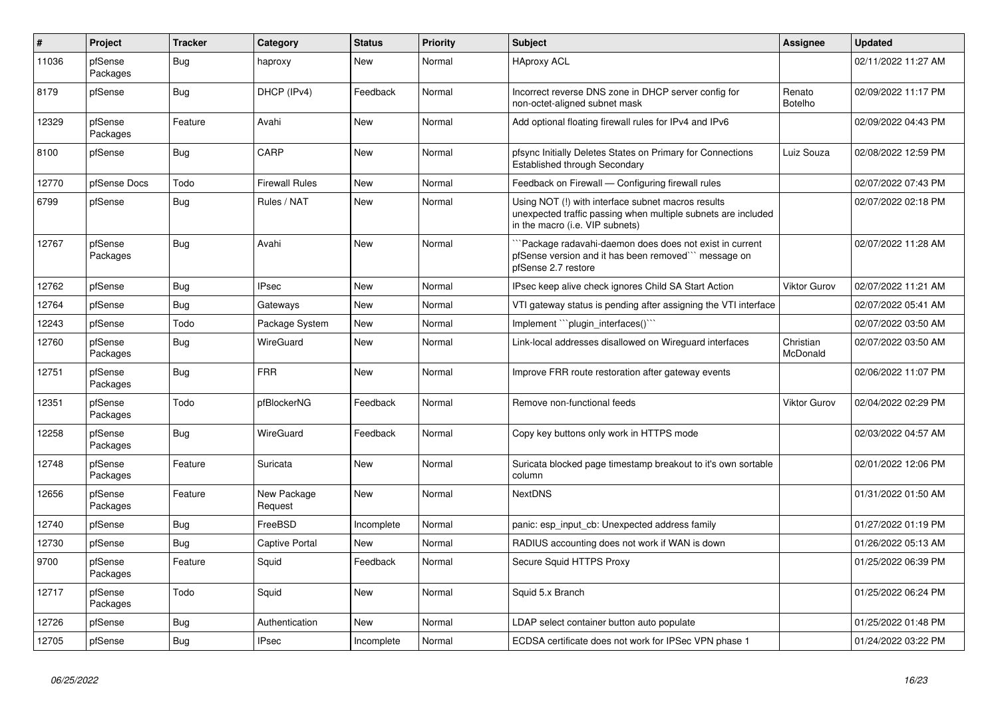| $\vert$ # | Project             | <b>Tracker</b> | Category               | <b>Status</b> | <b>Priority</b> | <b>Subject</b>                                                                                                                                         | Assignee                 | <b>Updated</b>      |
|-----------|---------------------|----------------|------------------------|---------------|-----------------|--------------------------------------------------------------------------------------------------------------------------------------------------------|--------------------------|---------------------|
| 11036     | pfSense<br>Packages | Bug            | haproxy                | New           | Normal          | <b>HAproxy ACL</b>                                                                                                                                     |                          | 02/11/2022 11:27 AM |
| 8179      | pfSense             | Bug            | DHCP (IPv4)            | Feedback      | Normal          | Incorrect reverse DNS zone in DHCP server config for<br>non-octet-aligned subnet mask                                                                  | Renato<br><b>Botelho</b> | 02/09/2022 11:17 PM |
| 12329     | pfSense<br>Packages | Feature        | Avahi                  | New           | Normal          | Add optional floating firewall rules for IPv4 and IPv6                                                                                                 |                          | 02/09/2022 04:43 PM |
| 8100      | pfSense             | Bug            | CARP                   | New           | Normal          | pfsync Initially Deletes States on Primary for Connections<br>Established through Secondary                                                            | Luiz Souza               | 02/08/2022 12:59 PM |
| 12770     | pfSense Docs        | Todo           | Firewall Rules         | New           | Normal          | Feedback on Firewall - Configuring firewall rules                                                                                                      |                          | 02/07/2022 07:43 PM |
| 6799      | pfSense             | Bug            | Rules / NAT            | New           | Normal          | Using NOT (!) with interface subnet macros results<br>unexpected traffic passing when multiple subnets are included<br>in the macro (i.e. VIP subnets) |                          | 02/07/2022 02:18 PM |
| 12767     | pfSense<br>Packages | <b>Bug</b>     | Avahi                  | <b>New</b>    | Normal          | Package radavahi-daemon does does not exist in current<br>pfSense version and it has been removed"" message on<br>pfSense 2.7 restore                  |                          | 02/07/2022 11:28 AM |
| 12762     | pfSense             | <b>Bug</b>     | <b>IPsec</b>           | <b>New</b>    | Normal          | IPsec keep alive check ignores Child SA Start Action                                                                                                   | <b>Viktor Gurov</b>      | 02/07/2022 11:21 AM |
| 12764     | pfSense             | Bug            | Gateways               | New           | Normal          | VTI gateway status is pending after assigning the VTI interface                                                                                        |                          | 02/07/2022 05:41 AM |
| 12243     | pfSense             | Todo           | Package System         | New           | Normal          | Implement "plugin interfaces()"                                                                                                                        |                          | 02/07/2022 03:50 AM |
| 12760     | pfSense<br>Packages | <b>Bug</b>     | <b>WireGuard</b>       | New           | Normal          | Link-local addresses disallowed on Wireguard interfaces                                                                                                | Christian<br>McDonald    | 02/07/2022 03:50 AM |
| 12751     | pfSense<br>Packages | Bug            | <b>FRR</b>             | New           | Normal          | Improve FRR route restoration after gateway events                                                                                                     |                          | 02/06/2022 11:07 PM |
| 12351     | pfSense<br>Packages | Todo           | pfBlockerNG            | Feedback      | Normal          | Remove non-functional feeds                                                                                                                            | <b>Viktor Gurov</b>      | 02/04/2022 02:29 PM |
| 12258     | pfSense<br>Packages | Bug            | WireGuard              | Feedback      | Normal          | Copy key buttons only work in HTTPS mode                                                                                                               |                          | 02/03/2022 04:57 AM |
| 12748     | pfSense<br>Packages | Feature        | Suricata               | New           | Normal          | Suricata blocked page timestamp breakout to it's own sortable<br>column                                                                                |                          | 02/01/2022 12:06 PM |
| 12656     | pfSense<br>Packages | Feature        | New Package<br>Request | New           | Normal          | <b>NextDNS</b>                                                                                                                                         |                          | 01/31/2022 01:50 AM |
| 12740     | pfSense             | Bug            | FreeBSD                | Incomplete    | Normal          | panic: esp input cb: Unexpected address family                                                                                                         |                          | 01/27/2022 01:19 PM |
| 12730     | pfSense             | Bug            | <b>Captive Portal</b>  | New           | Normal          | RADIUS accounting does not work if WAN is down                                                                                                         |                          | 01/26/2022 05:13 AM |
| 9700      | pfSense<br>Packages | Feature        | Squid                  | Feedback      | Normal          | Secure Squid HTTPS Proxy                                                                                                                               |                          | 01/25/2022 06:39 PM |
| 12717     | pfSense<br>Packages | Todo           | Squid                  | <b>New</b>    | Normal          | Squid 5.x Branch                                                                                                                                       |                          | 01/25/2022 06:24 PM |
| 12726     | pfSense             | Bug            | Authentication         | <b>New</b>    | Normal          | LDAP select container button auto populate                                                                                                             |                          | 01/25/2022 01:48 PM |
| 12705     | pfSense             | Bug            | <b>IPsec</b>           | Incomplete    | Normal          | ECDSA certificate does not work for IPSec VPN phase 1                                                                                                  |                          | 01/24/2022 03:22 PM |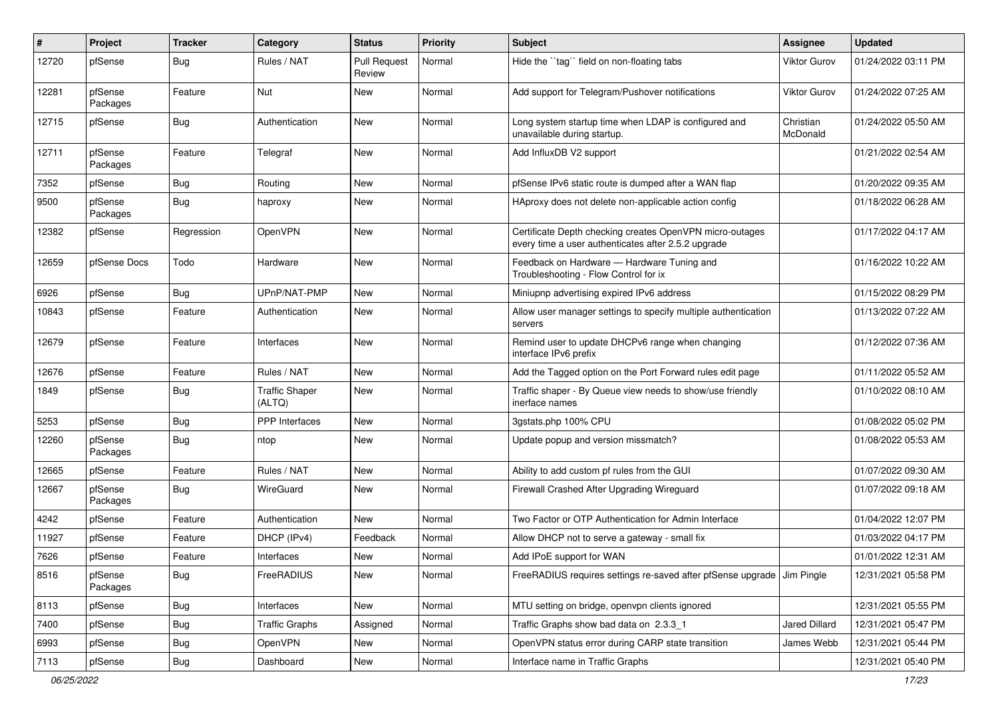| $\sharp$ | Project             | <b>Tracker</b> | Category                        | <b>Status</b>                 | <b>Priority</b> | <b>Subject</b>                                                                                                  | Assignee              | <b>Updated</b>      |
|----------|---------------------|----------------|---------------------------------|-------------------------------|-----------------|-----------------------------------------------------------------------------------------------------------------|-----------------------|---------------------|
| 12720    | pfSense             | Bug            | Rules / NAT                     | <b>Pull Request</b><br>Review | Normal          | Hide the "tag" field on non-floating tabs                                                                       | Viktor Gurov          | 01/24/2022 03:11 PM |
| 12281    | pfSense<br>Packages | Feature        | Nut                             | New                           | Normal          | Add support for Telegram/Pushover notifications                                                                 | Viktor Gurov          | 01/24/2022 07:25 AM |
| 12715    | pfSense             | Bug            | Authentication                  | New                           | Normal          | Long system startup time when LDAP is configured and<br>unavailable during startup.                             | Christian<br>McDonald | 01/24/2022 05:50 AM |
| 12711    | pfSense<br>Packages | Feature        | Telegraf                        | New                           | Normal          | Add InfluxDB V2 support                                                                                         |                       | 01/21/2022 02:54 AM |
| 7352     | pfSense             | Bug            | Routing                         | New                           | Normal          | pfSense IPv6 static route is dumped after a WAN flap                                                            |                       | 01/20/2022 09:35 AM |
| 9500     | pfSense<br>Packages | Bug            | haproxy                         | New                           | Normal          | HAproxy does not delete non-applicable action config                                                            |                       | 01/18/2022 06:28 AM |
| 12382    | pfSense             | Regression     | OpenVPN                         | New                           | Normal          | Certificate Depth checking creates OpenVPN micro-outages<br>every time a user authenticates after 2.5.2 upgrade |                       | 01/17/2022 04:17 AM |
| 12659    | pfSense Docs        | Todo           | Hardware                        | New                           | Normal          | Feedback on Hardware - Hardware Tuning and<br>Troubleshooting - Flow Control for ix                             |                       | 01/16/2022 10:22 AM |
| 6926     | pfSense             | <b>Bug</b>     | UPnP/NAT-PMP                    | <b>New</b>                    | Normal          | Miniupnp advertising expired IPv6 address                                                                       |                       | 01/15/2022 08:29 PM |
| 10843    | pfSense             | Feature        | Authentication                  | New                           | Normal          | Allow user manager settings to specify multiple authentication<br>servers                                       |                       | 01/13/2022 07:22 AM |
| 12679    | pfSense             | Feature        | Interfaces                      | New                           | Normal          | Remind user to update DHCPv6 range when changing<br>interface IPv6 prefix                                       |                       | 01/12/2022 07:36 AM |
| 12676    | pfSense             | Feature        | Rules / NAT                     | New                           | Normal          | Add the Tagged option on the Port Forward rules edit page                                                       |                       | 01/11/2022 05:52 AM |
| 1849     | pfSense             | <b>Bug</b>     | <b>Traffic Shaper</b><br>(ALTQ) | New                           | Normal          | Traffic shaper - By Queue view needs to show/use friendly<br>inerface names                                     |                       | 01/10/2022 08:10 AM |
| 5253     | pfSense             | <b>Bug</b>     | PPP Interfaces                  | New                           | Normal          | 3gstats.php 100% CPU                                                                                            |                       | 01/08/2022 05:02 PM |
| 12260    | pfSense<br>Packages | Bug            | ntop                            | New                           | Normal          | Update popup and version missmatch?                                                                             |                       | 01/08/2022 05:53 AM |
| 12665    | pfSense             | Feature        | Rules / NAT                     | New                           | Normal          | Ability to add custom pf rules from the GUI                                                                     |                       | 01/07/2022 09:30 AM |
| 12667    | pfSense<br>Packages | Bug            | WireGuard                       | New                           | Normal          | Firewall Crashed After Upgrading Wireguard                                                                      |                       | 01/07/2022 09:18 AM |
| 4242     | pfSense             | Feature        | Authentication                  | New                           | Normal          | Two Factor or OTP Authentication for Admin Interface                                                            |                       | 01/04/2022 12:07 PM |
| 11927    | pfSense             | Feature        | DHCP (IPv4)                     | Feedback                      | Normal          | Allow DHCP not to serve a gateway - small fix                                                                   |                       | 01/03/2022 04:17 PM |
| 7626     | pfSense             | Feature        | Interfaces                      | New                           | Normal          | Add IPoE support for WAN                                                                                        |                       | 01/01/2022 12:31 AM |
| 8516     | pfSense<br>Packages | <b>Bug</b>     | FreeRADIUS                      | New                           | Normal          | FreeRADIUS requires settings re-saved after pfSense upgrade   Jim Pingle                                        |                       | 12/31/2021 05:58 PM |
| 8113     | pfSense             | <b>Bug</b>     | Interfaces                      | New                           | Normal          | MTU setting on bridge, openvpn clients ignored                                                                  |                       | 12/31/2021 05:55 PM |
| 7400     | pfSense             | <b>Bug</b>     | <b>Traffic Graphs</b>           | Assigned                      | Normal          | Traffic Graphs show bad data on 2.3.3_1                                                                         | Jared Dillard         | 12/31/2021 05:47 PM |
| 6993     | pfSense             | <b>Bug</b>     | OpenVPN                         | New                           | Normal          | OpenVPN status error during CARP state transition                                                               | James Webb            | 12/31/2021 05:44 PM |
| 7113     | pfSense             | Bug            | Dashboard                       | New                           | Normal          | Interface name in Traffic Graphs                                                                                |                       | 12/31/2021 05:40 PM |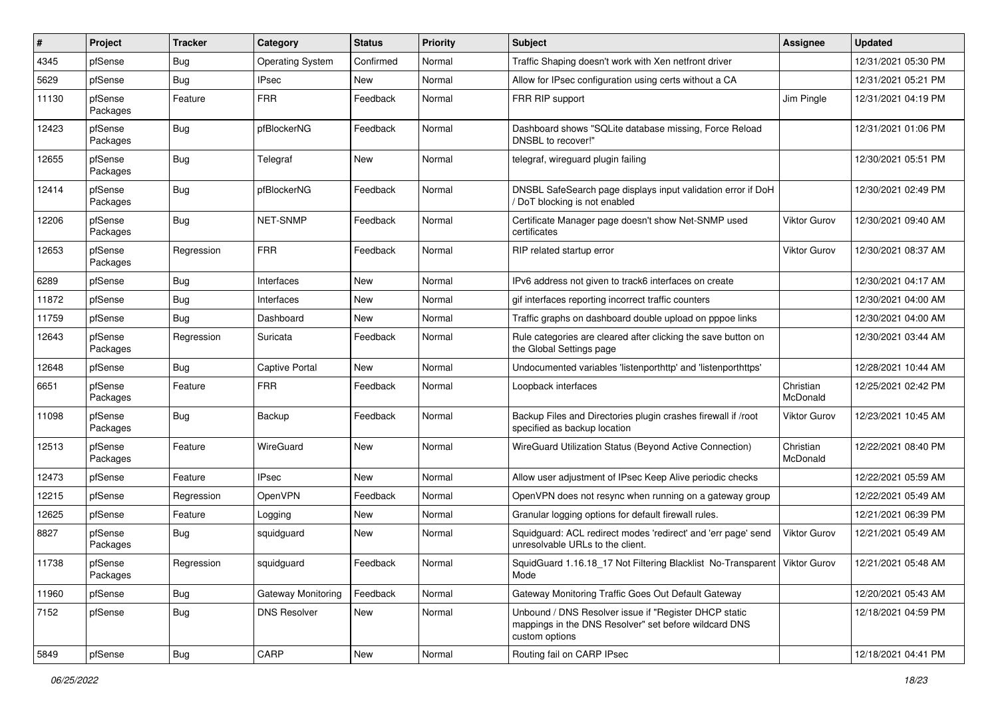| #     | Project             | <b>Tracker</b> | Category                | <b>Status</b> | <b>Priority</b> | Subject                                                                                                                          | <b>Assignee</b>       | <b>Updated</b>      |
|-------|---------------------|----------------|-------------------------|---------------|-----------------|----------------------------------------------------------------------------------------------------------------------------------|-----------------------|---------------------|
| 4345  | pfSense             | <b>Bug</b>     | <b>Operating System</b> | Confirmed     | Normal          | Traffic Shaping doesn't work with Xen netfront driver                                                                            |                       | 12/31/2021 05:30 PM |
| 5629  | pfSense             | <b>Bug</b>     | <b>IPsec</b>            | New           | Normal          | Allow for IPsec configuration using certs without a CA                                                                           |                       | 12/31/2021 05:21 PM |
| 11130 | pfSense<br>Packages | Feature        | <b>FRR</b>              | Feedback      | Normal          | FRR RIP support                                                                                                                  | Jim Pingle            | 12/31/2021 04:19 PM |
| 12423 | pfSense<br>Packages | Bug            | pfBlockerNG             | Feedback      | Normal          | Dashboard shows "SQLite database missing, Force Reload<br>DNSBL to recover!"                                                     |                       | 12/31/2021 01:06 PM |
| 12655 | pfSense<br>Packages | Bug            | Telegraf                | New           | Normal          | telegraf, wireguard plugin failing                                                                                               |                       | 12/30/2021 05:51 PM |
| 12414 | pfSense<br>Packages | Bug            | pfBlockerNG             | Feedback      | Normal          | DNSBL SafeSearch page displays input validation error if DoH<br>DoT blocking is not enabled                                      |                       | 12/30/2021 02:49 PM |
| 12206 | pfSense<br>Packages | Bug            | NET-SNMP                | Feedback      | Normal          | Certificate Manager page doesn't show Net-SNMP used<br>certificates                                                              | Viktor Gurov          | 12/30/2021 09:40 AM |
| 12653 | pfSense<br>Packages | Regression     | <b>FRR</b>              | Feedback      | Normal          | RIP related startup error                                                                                                        | Viktor Gurov          | 12/30/2021 08:37 AM |
| 6289  | pfSense             | <b>Bug</b>     | Interfaces              | New           | Normal          | IPv6 address not given to track6 interfaces on create                                                                            |                       | 12/30/2021 04:17 AM |
| 11872 | pfSense             | Bug            | Interfaces              | New           | Normal          | gif interfaces reporting incorrect traffic counters                                                                              |                       | 12/30/2021 04:00 AM |
| 11759 | pfSense             | Bug            | Dashboard               | New           | Normal          | Traffic graphs on dashboard double upload on pppoe links                                                                         |                       | 12/30/2021 04:00 AM |
| 12643 | pfSense<br>Packages | Regression     | Suricata                | Feedback      | Normal          | Rule categories are cleared after clicking the save button on<br>the Global Settings page                                        |                       | 12/30/2021 03:44 AM |
| 12648 | pfSense             | Bug            | Captive Portal          | New           | Normal          | Undocumented variables 'listenporthttp' and 'listenporthttps'                                                                    |                       | 12/28/2021 10:44 AM |
| 6651  | pfSense<br>Packages | Feature        | <b>FRR</b>              | Feedback      | Normal          | Loopback interfaces                                                                                                              | Christian<br>McDonald | 12/25/2021 02:42 PM |
| 11098 | pfSense<br>Packages | <b>Bug</b>     | Backup                  | Feedback      | Normal          | Backup Files and Directories plugin crashes firewall if /root<br>specified as backup location                                    | Viktor Gurov          | 12/23/2021 10:45 AM |
| 12513 | pfSense<br>Packages | Feature        | WireGuard               | New           | Normal          | WireGuard Utilization Status (Beyond Active Connection)                                                                          | Christian<br>McDonald | 12/22/2021 08:40 PM |
| 12473 | pfSense             | Feature        | <b>IPsec</b>            | <b>New</b>    | Normal          | Allow user adjustment of IPsec Keep Alive periodic checks                                                                        |                       | 12/22/2021 05:59 AM |
| 12215 | pfSense             | Regression     | OpenVPN                 | Feedback      | Normal          | OpenVPN does not resync when running on a gateway group                                                                          |                       | 12/22/2021 05:49 AM |
| 12625 | pfSense             | Feature        | Logging                 | New           | Normal          | Granular logging options for default firewall rules.                                                                             |                       | 12/21/2021 06:39 PM |
| 8827  | pfSense<br>Packages | <b>Bug</b>     | squidguard              | New           | Normal          | Squidguard: ACL redirect modes 'redirect' and 'err page' send<br>unresolvable URLs to the client.                                | Viktor Gurov          | 12/21/2021 05:49 AM |
| 11738 | pfSense<br>Packages | Regression     | squidguard              | Feedback      | Normal          | SquidGuard 1.16.18_17 Not Filtering Blacklist No-Transparent   Viktor Gurov<br>Mode                                              |                       | 12/21/2021 05:48 AM |
| 11960 | pfSense             | <b>Bug</b>     | Gateway Monitoring      | Feedback      | Normal          | Gateway Monitoring Traffic Goes Out Default Gateway                                                                              |                       | 12/20/2021 05:43 AM |
| 7152  | pfSense             | <b>Bug</b>     | <b>DNS Resolver</b>     | New           | Normal          | Unbound / DNS Resolver issue if "Register DHCP static<br>mappings in the DNS Resolver" set before wildcard DNS<br>custom options |                       | 12/18/2021 04:59 PM |
| 5849  | pfSense             | Bug            | CARP                    | New           | Normal          | Routing fail on CARP IPsec                                                                                                       |                       | 12/18/2021 04:41 PM |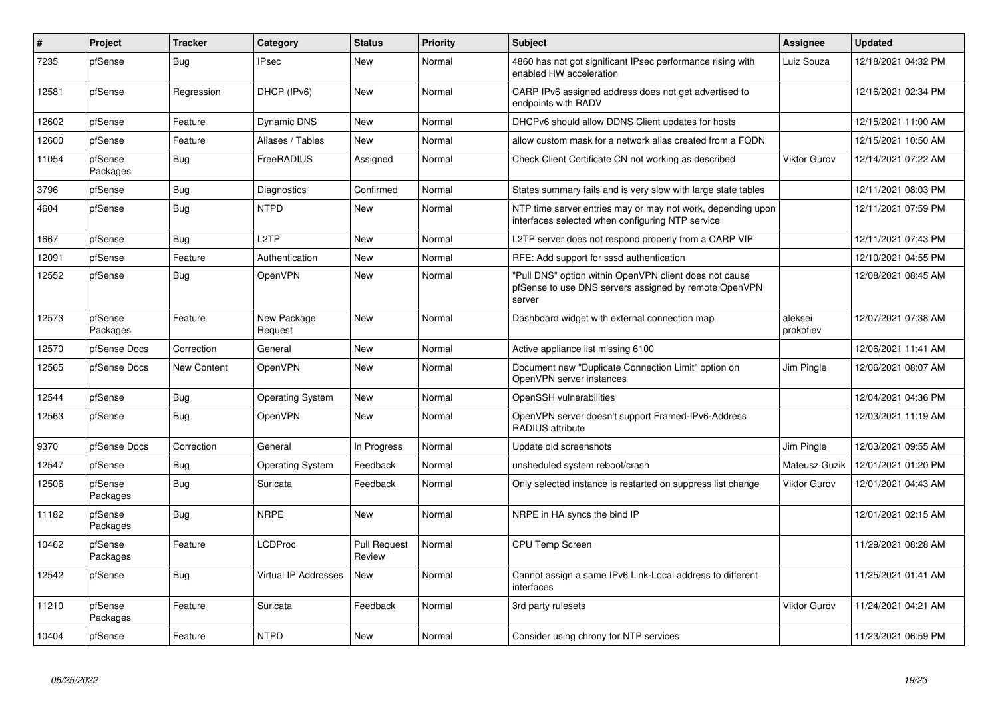| #     | Project             | <b>Tracker</b> | Category                | <b>Status</b>                 | <b>Priority</b> | <b>Subject</b>                                                                                                            | <b>Assignee</b>      | <b>Updated</b>      |
|-------|---------------------|----------------|-------------------------|-------------------------------|-----------------|---------------------------------------------------------------------------------------------------------------------------|----------------------|---------------------|
| 7235  | pfSense             | Bug            | <b>IPsec</b>            | New                           | Normal          | 4860 has not got significant IPsec performance rising with<br>enabled HW acceleration                                     | Luiz Souza           | 12/18/2021 04:32 PM |
| 12581 | pfSense             | Regression     | DHCP (IPv6)             | New                           | Normal          | CARP IPv6 assigned address does not get advertised to<br>endpoints with RADV                                              |                      | 12/16/2021 02:34 PM |
| 12602 | pfSense             | Feature        | Dynamic DNS             | New                           | Normal          | DHCPv6 should allow DDNS Client updates for hosts                                                                         |                      | 12/15/2021 11:00 AM |
| 12600 | pfSense             | Feature        | Aliases / Tables        | New                           | Normal          | allow custom mask for a network alias created from a FQDN                                                                 |                      | 12/15/2021 10:50 AM |
| 11054 | pfSense<br>Packages | <b>Bug</b>     | FreeRADIUS              | Assigned                      | Normal          | Check Client Certificate CN not working as described                                                                      | Viktor Gurov         | 12/14/2021 07:22 AM |
| 3796  | pfSense             | <b>Bug</b>     | Diagnostics             | Confirmed                     | Normal          | States summary fails and is very slow with large state tables                                                             |                      | 12/11/2021 08:03 PM |
| 4604  | pfSense             | <b>Bug</b>     | <b>NTPD</b>             | New                           | Normal          | NTP time server entries may or may not work, depending upon<br>interfaces selected when configuring NTP service           |                      | 12/11/2021 07:59 PM |
| 1667  | pfSense             | Bug            | L <sub>2</sub> TP       | New                           | Normal          | L2TP server does not respond properly from a CARP VIP                                                                     |                      | 12/11/2021 07:43 PM |
| 12091 | pfSense             | Feature        | Authentication          | New                           | Normal          | RFE: Add support for sssd authentication                                                                                  |                      | 12/10/2021 04:55 PM |
| 12552 | pfSense             | <b>Bug</b>     | OpenVPN                 | New                           | Normal          | "Pull DNS" option within OpenVPN client does not cause<br>pfSense to use DNS servers assigned by remote OpenVPN<br>server |                      | 12/08/2021 08:45 AM |
| 12573 | pfSense<br>Packages | Feature        | New Package<br>Request  | New                           | Normal          | Dashboard widget with external connection map                                                                             | aleksei<br>prokofiev | 12/07/2021 07:38 AM |
| 12570 | pfSense Docs        | Correction     | General                 | New                           | Normal          | Active appliance list missing 6100                                                                                        |                      | 12/06/2021 11:41 AM |
| 12565 | pfSense Docs        | New Content    | OpenVPN                 | <b>New</b>                    | Normal          | Document new "Duplicate Connection Limit" option on<br>OpenVPN server instances                                           | Jim Pingle           | 12/06/2021 08:07 AM |
| 12544 | pfSense             | <b>Bug</b>     | <b>Operating System</b> | <b>New</b>                    | Normal          | OpenSSH vulnerabilities                                                                                                   |                      | 12/04/2021 04:36 PM |
| 12563 | pfSense             | <b>Bug</b>     | OpenVPN                 | New                           | Normal          | OpenVPN server doesn't support Framed-IPv6-Address<br>RADIUS attribute                                                    |                      | 12/03/2021 11:19 AM |
| 9370  | pfSense Docs        | Correction     | General                 | In Progress                   | Normal          | Update old screenshots                                                                                                    | Jim Pingle           | 12/03/2021 09:55 AM |
| 12547 | pfSense             | <b>Bug</b>     | <b>Operating System</b> | Feedback                      | Normal          | unsheduled system reboot/crash                                                                                            | Mateusz Guzik        | 12/01/2021 01:20 PM |
| 12506 | pfSense<br>Packages | Bug            | Suricata                | Feedback                      | Normal          | Only selected instance is restarted on suppress list change                                                               | Viktor Gurov         | 12/01/2021 04:43 AM |
| 11182 | pfSense<br>Packages | Bug            | <b>NRPE</b>             | <b>New</b>                    | Normal          | NRPE in HA syncs the bind IP                                                                                              |                      | 12/01/2021 02:15 AM |
| 10462 | pfSense<br>Packages | Feature        | LCDProc                 | <b>Pull Request</b><br>Review | Normal          | CPU Temp Screen                                                                                                           |                      | 11/29/2021 08:28 AM |
| 12542 | pfSense             | <b>Bug</b>     | Virtual IP Addresses    | New                           | Normal          | Cannot assign a same IPv6 Link-Local address to different<br>interfaces                                                   |                      | 11/25/2021 01:41 AM |
| 11210 | pfSense<br>Packages | Feature        | Suricata                | Feedback                      | Normal          | 3rd party rulesets                                                                                                        | Viktor Gurov         | 11/24/2021 04:21 AM |
| 10404 | pfSense             | Feature        | <b>NTPD</b>             | New                           | Normal          | Consider using chrony for NTP services                                                                                    |                      | 11/23/2021 06:59 PM |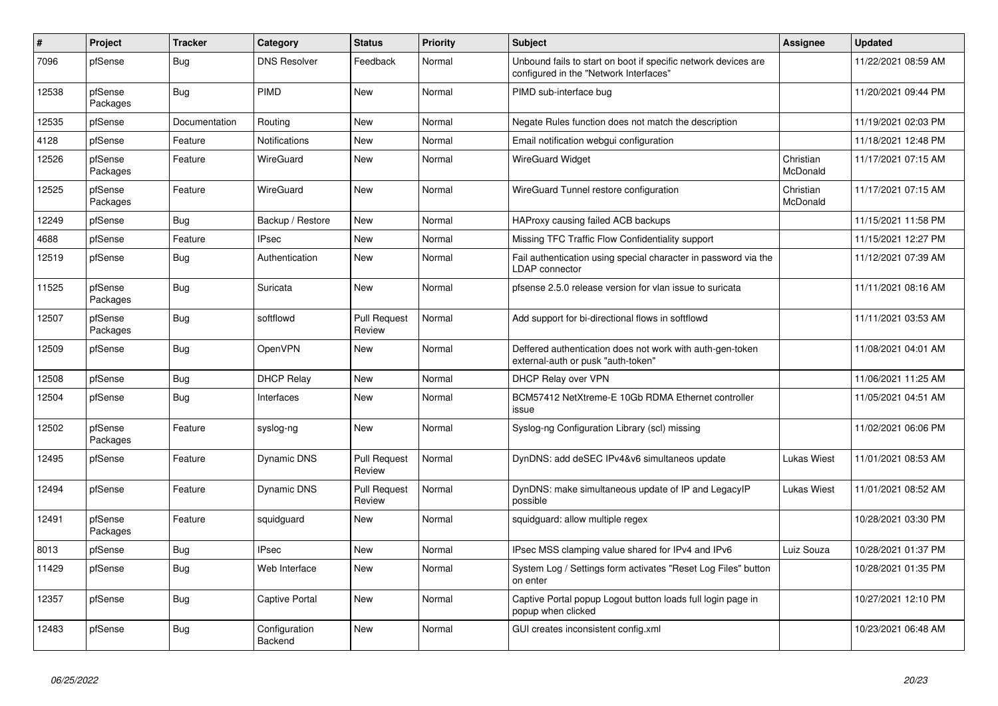| $\#$  | Project             | <b>Tracker</b> | Category                 | <b>Status</b>                 | <b>Priority</b> | <b>Subject</b>                                                                                           | <b>Assignee</b>       | <b>Updated</b>      |
|-------|---------------------|----------------|--------------------------|-------------------------------|-----------------|----------------------------------------------------------------------------------------------------------|-----------------------|---------------------|
| 7096  | pfSense             | Bug            | <b>DNS Resolver</b>      | Feedback                      | Normal          | Unbound fails to start on boot if specific network devices are<br>configured in the "Network Interfaces" |                       | 11/22/2021 08:59 AM |
| 12538 | pfSense<br>Packages | <b>Bug</b>     | PIMD                     | <b>New</b>                    | Normal          | PIMD sub-interface bug                                                                                   |                       | 11/20/2021 09:44 PM |
| 12535 | pfSense             | Documentation  | Routing                  | <b>New</b>                    | Normal          | Negate Rules function does not match the description                                                     |                       | 11/19/2021 02:03 PM |
| 4128  | pfSense             | Feature        | Notifications            | New                           | Normal          | Email notification webgui configuration                                                                  |                       | 11/18/2021 12:48 PM |
| 12526 | pfSense<br>Packages | Feature        | WireGuard                | New                           | Normal          | <b>WireGuard Widget</b>                                                                                  | Christian<br>McDonald | 11/17/2021 07:15 AM |
| 12525 | pfSense<br>Packages | Feature        | WireGuard                | <b>New</b>                    | Normal          | WireGuard Tunnel restore configuration                                                                   | Christian<br>McDonald | 11/17/2021 07:15 AM |
| 12249 | pfSense             | Bug            | Backup / Restore         | New                           | Normal          | HAProxy causing failed ACB backups                                                                       |                       | 11/15/2021 11:58 PM |
| 4688  | pfSense             | Feature        | <b>IPsec</b>             | New                           | Normal          | Missing TFC Traffic Flow Confidentiality support                                                         |                       | 11/15/2021 12:27 PM |
| 12519 | pfSense             | Bug            | Authentication           | New                           | Normal          | Fail authentication using special character in password via the<br><b>LDAP</b> connector                 |                       | 11/12/2021 07:39 AM |
| 11525 | pfSense<br>Packages | Bug            | Suricata                 | <b>New</b>                    | Normal          | pfsense 2.5.0 release version for vlan issue to suricata                                                 |                       | 11/11/2021 08:16 AM |
| 12507 | pfSense<br>Packages | Bug            | softflowd                | <b>Pull Request</b><br>Review | Normal          | Add support for bi-directional flows in softflowd                                                        |                       | 11/11/2021 03:53 AM |
| 12509 | pfSense             | Bug            | OpenVPN                  | <b>New</b>                    | Normal          | Deffered authentication does not work with auth-gen-token<br>external-auth or pusk "auth-token"          |                       | 11/08/2021 04:01 AM |
| 12508 | pfSense             | <b>Bug</b>     | <b>DHCP Relay</b>        | New                           | Normal          | DHCP Relay over VPN                                                                                      |                       | 11/06/2021 11:25 AM |
| 12504 | pfSense             | <b>Bug</b>     | Interfaces               | <b>New</b>                    | Normal          | BCM57412 NetXtreme-E 10Gb RDMA Ethernet controller<br>issue                                              |                       | 11/05/2021 04:51 AM |
| 12502 | pfSense<br>Packages | Feature        | syslog-ng                | New                           | Normal          | Syslog-ng Configuration Library (scl) missing                                                            |                       | 11/02/2021 06:06 PM |
| 12495 | pfSense             | Feature        | <b>Dynamic DNS</b>       | <b>Pull Request</b><br>Review | Normal          | DynDNS: add deSEC IPv4&v6 simultaneos update                                                             | Lukas Wiest           | 11/01/2021 08:53 AM |
| 12494 | pfSense             | Feature        | Dynamic DNS              | <b>Pull Request</b><br>Review | Normal          | DynDNS: make simultaneous update of IP and LegacyIP<br>possible                                          | Lukas Wiest           | 11/01/2021 08:52 AM |
| 12491 | pfSense<br>Packages | Feature        | squidguard               | <b>New</b>                    | Normal          | squidguard: allow multiple regex                                                                         |                       | 10/28/2021 03:30 PM |
| 8013  | pfSense             | <b>Bug</b>     | <b>IPsec</b>             | <b>New</b>                    | Normal          | IPsec MSS clamping value shared for IPv4 and IPv6                                                        | Luiz Souza            | 10/28/2021 01:37 PM |
| 11429 | pfSense             | <b>Bug</b>     | Web Interface            | New                           | Normal          | System Log / Settings form activates "Reset Log Files" button<br>on enter                                |                       | 10/28/2021 01:35 PM |
| 12357 | pfSense             | Bug            | Captive Portal           | <b>New</b>                    | Normal          | Captive Portal popup Logout button loads full login page in<br>popup when clicked                        |                       | 10/27/2021 12:10 PM |
| 12483 | pfSense             | <b>Bug</b>     | Configuration<br>Backend | <b>New</b>                    | Normal          | GUI creates inconsistent config.xml                                                                      |                       | 10/23/2021 06:48 AM |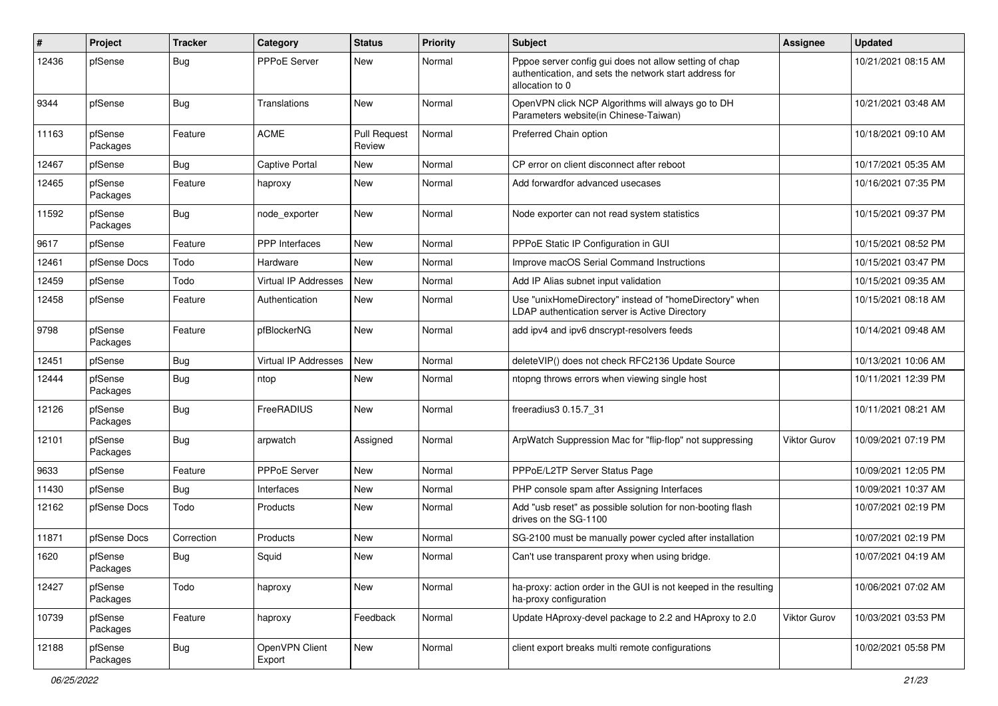| #     | Project             | <b>Tracker</b> | Category                    | <b>Status</b>                 | <b>Priority</b> | <b>Subject</b>                                                                                                                      | Assignee            | <b>Updated</b>      |
|-------|---------------------|----------------|-----------------------------|-------------------------------|-----------------|-------------------------------------------------------------------------------------------------------------------------------------|---------------------|---------------------|
| 12436 | pfSense             | Bug            | <b>PPPoE Server</b>         | New                           | Normal          | Pppoe server config gui does not allow setting of chap<br>authentication, and sets the network start address for<br>allocation to 0 |                     | 10/21/2021 08:15 AM |
| 9344  | pfSense             | <b>Bug</b>     | Translations                | New                           | Normal          | OpenVPN click NCP Algorithms will always go to DH<br>Parameters website(in Chinese-Taiwan)                                          |                     | 10/21/2021 03:48 AM |
| 11163 | pfSense<br>Packages | Feature        | <b>ACME</b>                 | <b>Pull Request</b><br>Review | Normal          | Preferred Chain option                                                                                                              |                     | 10/18/2021 09:10 AM |
| 12467 | pfSense             | <b>Bug</b>     | <b>Captive Portal</b>       | <b>New</b>                    | Normal          | CP error on client disconnect after reboot                                                                                          |                     | 10/17/2021 05:35 AM |
| 12465 | pfSense<br>Packages | Feature        | haproxy                     | New                           | Normal          | Add forwardfor advanced usecases                                                                                                    |                     | 10/16/2021 07:35 PM |
| 11592 | pfSense<br>Packages | <b>Bug</b>     | node exporter               | New                           | Normal          | Node exporter can not read system statistics                                                                                        |                     | 10/15/2021 09:37 PM |
| 9617  | pfSense             | Feature        | <b>PPP</b> Interfaces       | New                           | Normal          | PPPoE Static IP Configuration in GUI                                                                                                |                     | 10/15/2021 08:52 PM |
| 12461 | pfSense Docs        | Todo           | Hardware                    | New                           | Normal          | Improve macOS Serial Command Instructions                                                                                           |                     | 10/15/2021 03:47 PM |
| 12459 | pfSense             | Todo           | Virtual IP Addresses        | New                           | Normal          | Add IP Alias subnet input validation                                                                                                |                     | 10/15/2021 09:35 AM |
| 12458 | pfSense             | Feature        | Authentication              | New                           | Normal          | Use "unixHomeDirectory" instead of "homeDirectory" when<br>LDAP authentication server is Active Directory                           |                     | 10/15/2021 08:18 AM |
| 9798  | pfSense<br>Packages | Feature        | pfBlockerNG                 | New                           | Normal          | add ipv4 and ipv6 dnscrypt-resolvers feeds                                                                                          |                     | 10/14/2021 09:48 AM |
| 12451 | pfSense             | Bug            | <b>Virtual IP Addresses</b> | New                           | Normal          | deleteVIP() does not check RFC2136 Update Source                                                                                    |                     | 10/13/2021 10:06 AM |
| 12444 | pfSense<br>Packages | Bug            | ntop                        | New                           | Normal          | ntopng throws errors when viewing single host                                                                                       |                     | 10/11/2021 12:39 PM |
| 12126 | pfSense<br>Packages | <b>Bug</b>     | FreeRADIUS                  | New                           | Normal          | freeradius3 0.15.7_31                                                                                                               |                     | 10/11/2021 08:21 AM |
| 12101 | pfSense<br>Packages | Bug            | arpwatch                    | Assigned                      | Normal          | ArpWatch Suppression Mac for "flip-flop" not suppressing                                                                            | <b>Viktor Gurov</b> | 10/09/2021 07:19 PM |
| 9633  | pfSense             | Feature        | <b>PPPoE Server</b>         | New                           | Normal          | PPPoE/L2TP Server Status Page                                                                                                       |                     | 10/09/2021 12:05 PM |
| 11430 | pfSense             | Bug            | Interfaces                  | New                           | Normal          | PHP console spam after Assigning Interfaces                                                                                         |                     | 10/09/2021 10:37 AM |
| 12162 | pfSense Docs        | Todo           | Products                    | New                           | Normal          | Add "usb reset" as possible solution for non-booting flash<br>drives on the SG-1100                                                 |                     | 10/07/2021 02:19 PM |
| 11871 | pfSense Docs        | Correction     | Products                    | New                           | Normal          | SG-2100 must be manually power cycled after installation                                                                            |                     | 10/07/2021 02:19 PM |
| 1620  | pfSense<br>Packages | Bug            | Squid                       | New                           | Normal          | Can't use transparent proxy when using bridge.                                                                                      |                     | 10/07/2021 04:19 AM |
| 12427 | pfSense<br>Packages | Todo           | haproxy                     | New                           | Normal          | ha-proxy: action order in the GUI is not keeped in the resulting<br>ha-proxy configuration                                          |                     | 10/06/2021 07:02 AM |
| 10739 | pfSense<br>Packages | Feature        | haproxy                     | Feedback                      | Normal          | Update HAproxy-devel package to 2.2 and HAproxy to 2.0                                                                              | Viktor Gurov        | 10/03/2021 03:53 PM |
| 12188 | pfSense<br>Packages | Bug            | OpenVPN Client<br>Export    | New                           | Normal          | client export breaks multi remote configurations                                                                                    |                     | 10/02/2021 05:58 PM |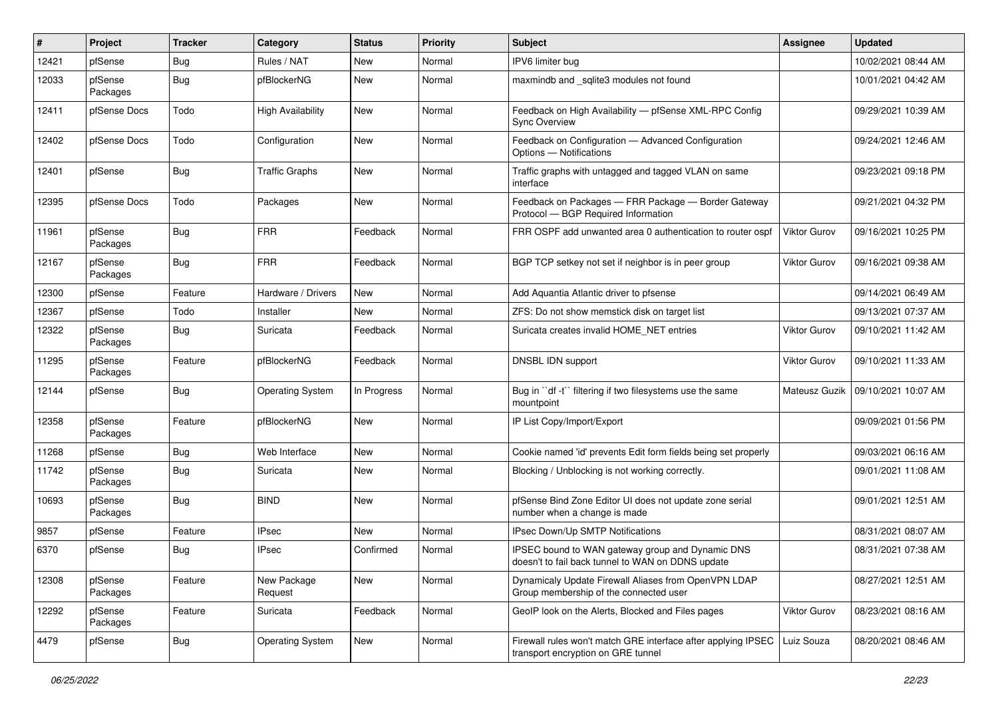| ∦     | Project             | <b>Tracker</b> | Category                 | <b>Status</b> | <b>Priority</b> | <b>Subject</b>                                                                                        | Assignee            | <b>Updated</b>      |
|-------|---------------------|----------------|--------------------------|---------------|-----------------|-------------------------------------------------------------------------------------------------------|---------------------|---------------------|
| 12421 | pfSense             | <b>Bug</b>     | Rules / NAT              | New           | Normal          | IPV6 limiter bug                                                                                      |                     | 10/02/2021 08:44 AM |
| 12033 | pfSense<br>Packages | <b>Bug</b>     | pfBlockerNG              | New           | Normal          | maxmindb and sqlite3 modules not found                                                                |                     | 10/01/2021 04:42 AM |
| 12411 | pfSense Docs        | Todo           | <b>High Availability</b> | New           | Normal          | Feedback on High Availability - pfSense XML-RPC Config<br><b>Sync Overview</b>                        |                     | 09/29/2021 10:39 AM |
| 12402 | pfSense Docs        | Todo           | Configuration            | New           | Normal          | Feedback on Configuration - Advanced Configuration<br>Options - Notifications                         |                     | 09/24/2021 12:46 AM |
| 12401 | pfSense             | Bug            | <b>Traffic Graphs</b>    | New           | Normal          | Traffic graphs with untagged and tagged VLAN on same<br>interface                                     |                     | 09/23/2021 09:18 PM |
| 12395 | pfSense Docs        | Todo           | Packages                 | New           | Normal          | Feedback on Packages - FRR Package - Border Gateway<br>Protocol - BGP Required Information            |                     | 09/21/2021 04:32 PM |
| 11961 | pfSense<br>Packages | <b>Bug</b>     | <b>FRR</b>               | Feedback      | Normal          | FRR OSPF add unwanted area 0 authentication to router ospf                                            | Viktor Gurov        | 09/16/2021 10:25 PM |
| 12167 | pfSense<br>Packages | Bug            | <b>FRR</b>               | Feedback      | Normal          | BGP TCP setkey not set if neighbor is in peer group                                                   | Viktor Gurov        | 09/16/2021 09:38 AM |
| 12300 | pfSense             | Feature        | Hardware / Drivers       | New           | Normal          | Add Aquantia Atlantic driver to pfsense                                                               |                     | 09/14/2021 06:49 AM |
| 12367 | pfSense             | Todo           | Installer                | New           | Normal          | ZFS: Do not show memstick disk on target list                                                         |                     | 09/13/2021 07:37 AM |
| 12322 | pfSense<br>Packages | Bug            | Suricata                 | Feedback      | Normal          | Suricata creates invalid HOME NET entries                                                             | Viktor Gurov        | 09/10/2021 11:42 AM |
| 11295 | pfSense<br>Packages | Feature        | pfBlockerNG              | Feedback      | Normal          | DNSBL IDN support                                                                                     | Viktor Gurov        | 09/10/2021 11:33 AM |
| 12144 | pfSense             | <b>Bug</b>     | Operating System         | In Progress   | Normal          | Bug in "df -t" filtering if two filesystems use the same<br>mountpoint                                | Mateusz Guzik       | 09/10/2021 10:07 AM |
| 12358 | pfSense<br>Packages | Feature        | pfBlockerNG              | New           | Normal          | IP List Copy/Import/Export                                                                            |                     | 09/09/2021 01:56 PM |
| 11268 | pfSense             | <b>Bug</b>     | Web Interface            | New           | Normal          | Cookie named 'id' prevents Edit form fields being set properly                                        |                     | 09/03/2021 06:16 AM |
| 11742 | pfSense<br>Packages | <b>Bug</b>     | Suricata                 | New           | Normal          | Blocking / Unblocking is not working correctly.                                                       |                     | 09/01/2021 11:08 AM |
| 10693 | pfSense<br>Packages | Bug            | <b>BIND</b>              | New           | Normal          | pfSense Bind Zone Editor UI does not update zone serial<br>number when a change is made               |                     | 09/01/2021 12:51 AM |
| 9857  | pfSense             | Feature        | <b>IPsec</b>             | New           | Normal          | IPsec Down/Up SMTP Notifications                                                                      |                     | 08/31/2021 08:07 AM |
| 6370  | pfSense             | <b>Bug</b>     | IPsec                    | Confirmed     | Normal          | IPSEC bound to WAN gateway group and Dynamic DNS<br>doesn't to fail back tunnel to WAN on DDNS update |                     | 08/31/2021 07:38 AM |
| 12308 | pfSense<br>Packages | Feature        | New Package<br>Request   | New           | Normal          | Dynamicaly Update Firewall Aliases from OpenVPN LDAP<br>Group membership of the connected user        |                     | 08/27/2021 12:51 AM |
| 12292 | pfSense<br>Packages | Feature        | Suricata                 | Feedback      | Normal          | GeoIP look on the Alerts, Blocked and Files pages                                                     | <b>Viktor Gurov</b> | 08/23/2021 08:16 AM |
| 4479  | pfSense             | Bug            | <b>Operating System</b>  | New           | Normal          | Firewall rules won't match GRE interface after applying IPSEC<br>transport encryption on GRE tunnel   | Luiz Souza          | 08/20/2021 08:46 AM |